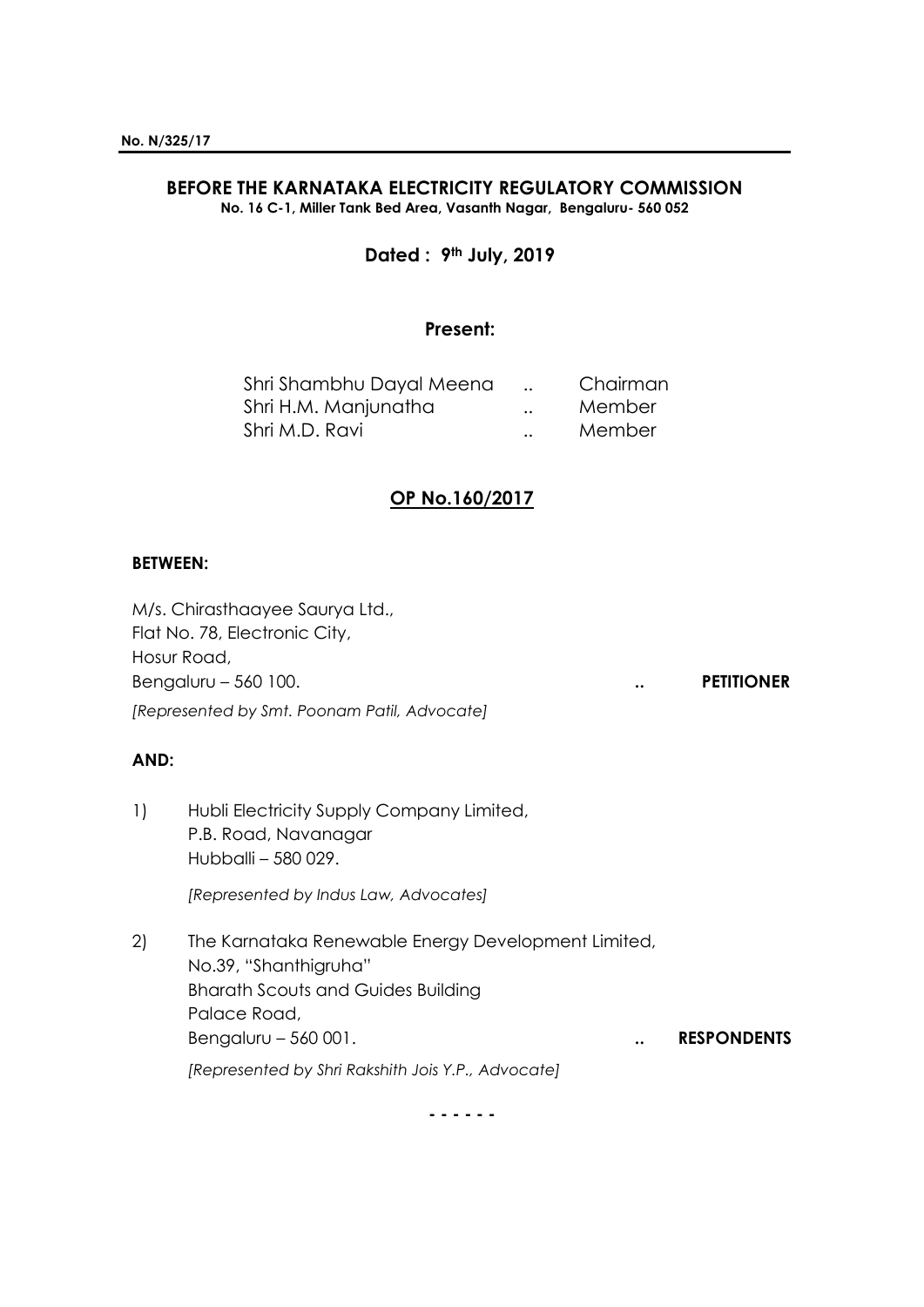# **BEFORE THE KARNATAKA ELECTRICITY REGULATORY COMMISSION**

**No. 16 C-1, Miller Tank Bed Area, Vasanth Nagar, Bengaluru- 560 052**

## **Dated : 9th July, 2019**

### **Present:**

| Shri Shambhu Dayal Meena |                      | Chairman |
|--------------------------|----------------------|----------|
| Shri H.M. Manjunatha     | $\ddot{\phantom{0}}$ | Member   |
| Shri M.D. Ravi           | $\ddot{\phantom{a}}$ | Member   |

## **OP No.160/2017**

#### **BETWEEN:**

M/s. Chirasthaayee Saurya Ltd., Flat No. 78, Electronic City, Hosur Road, Bengaluru – 560 100. **.. PETITIONER** *[Represented by Smt. Poonam Patil, Advocate]*

### **AND:**

1) Hubli Electricity Supply Company Limited, P.B. Road, Navanagar Hubballi – 580 029.

*[Represented by Indus Law, Advocates]*

2) The Karnataka Renewable Energy Development Limited, No.39, "Shanthigruha" Bharath Scouts and Guides Building Palace Road, Bengaluru – 560 001. **... ... ... ... ... ... RESPONDENTS** *[Represented by Shri Rakshith Jois Y.P., Advocate]*

**- - - - - -**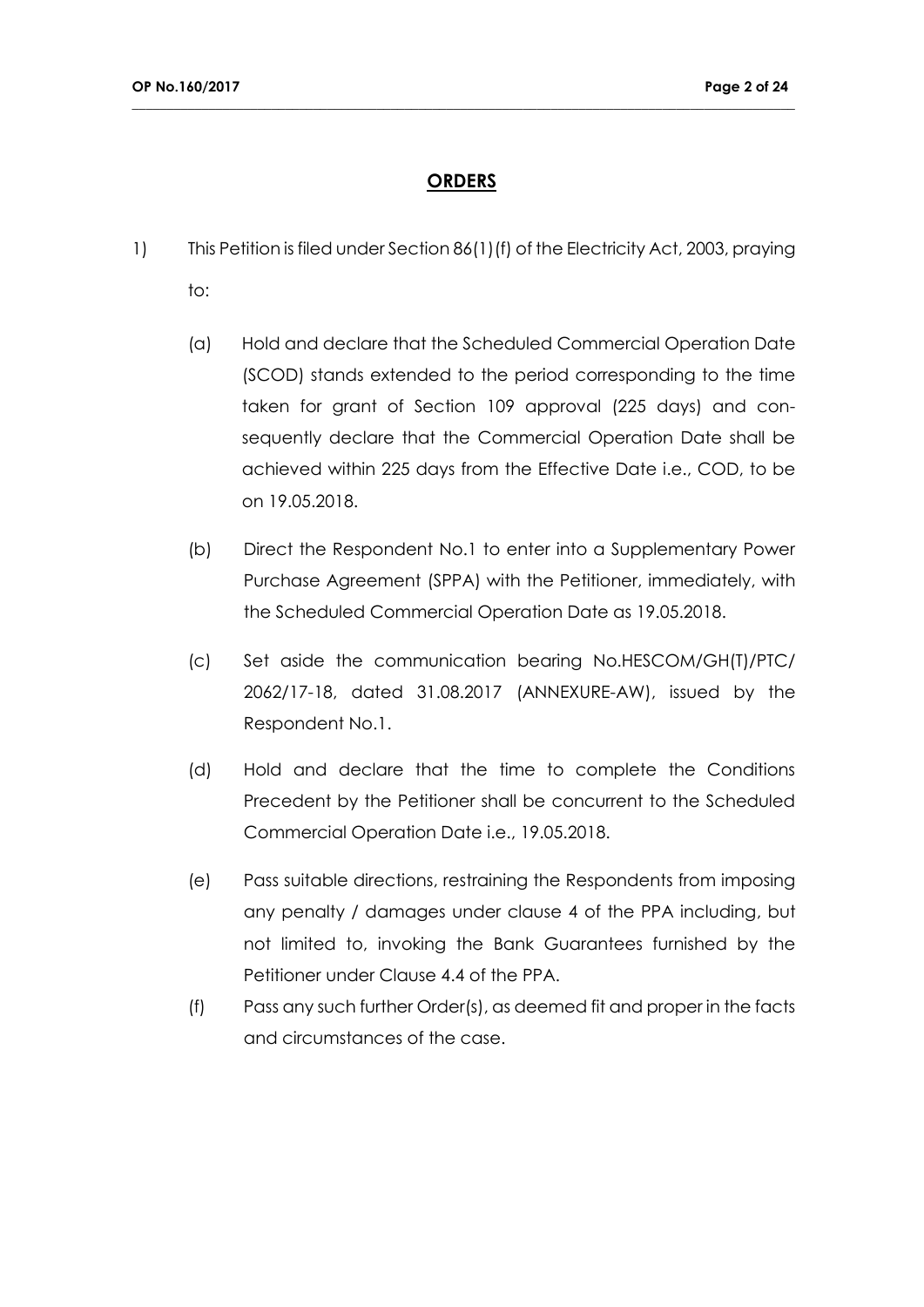## **ORDERS**

- 1) This Petition is filed under Section 86(1)(f) of the Electricity Act, 2003, praying to:
	- (a) Hold and declare that the Scheduled Commercial Operation Date (SCOD) stands extended to the period corresponding to the time taken for grant of Section 109 approval (225 days) and consequently declare that the Commercial Operation Date shall be achieved within 225 days from the Effective Date i.e., COD, to be on 19.05.2018.
	- (b) Direct the Respondent No.1 to enter into a Supplementary Power Purchase Agreement (SPPA) with the Petitioner, immediately, with the Scheduled Commercial Operation Date as 19.05.2018.
	- (c) Set aside the communication bearing No.HESCOM/GH(T)/PTC/ 2062/17-18, dated 31.08.2017 (ANNEXURE-AW), issued by the Respondent No.1.
	- (d) Hold and declare that the time to complete the Conditions Precedent by the Petitioner shall be concurrent to the Scheduled Commercial Operation Date i.e., 19.05.2018.
	- (e) Pass suitable directions, restraining the Respondents from imposing any penalty / damages under clause 4 of the PPA including, but not limited to, invoking the Bank Guarantees furnished by the Petitioner under Clause 4.4 of the PPA.
	- (f) Pass any such further Order(s), as deemed fit and proper in the facts and circumstances of the case.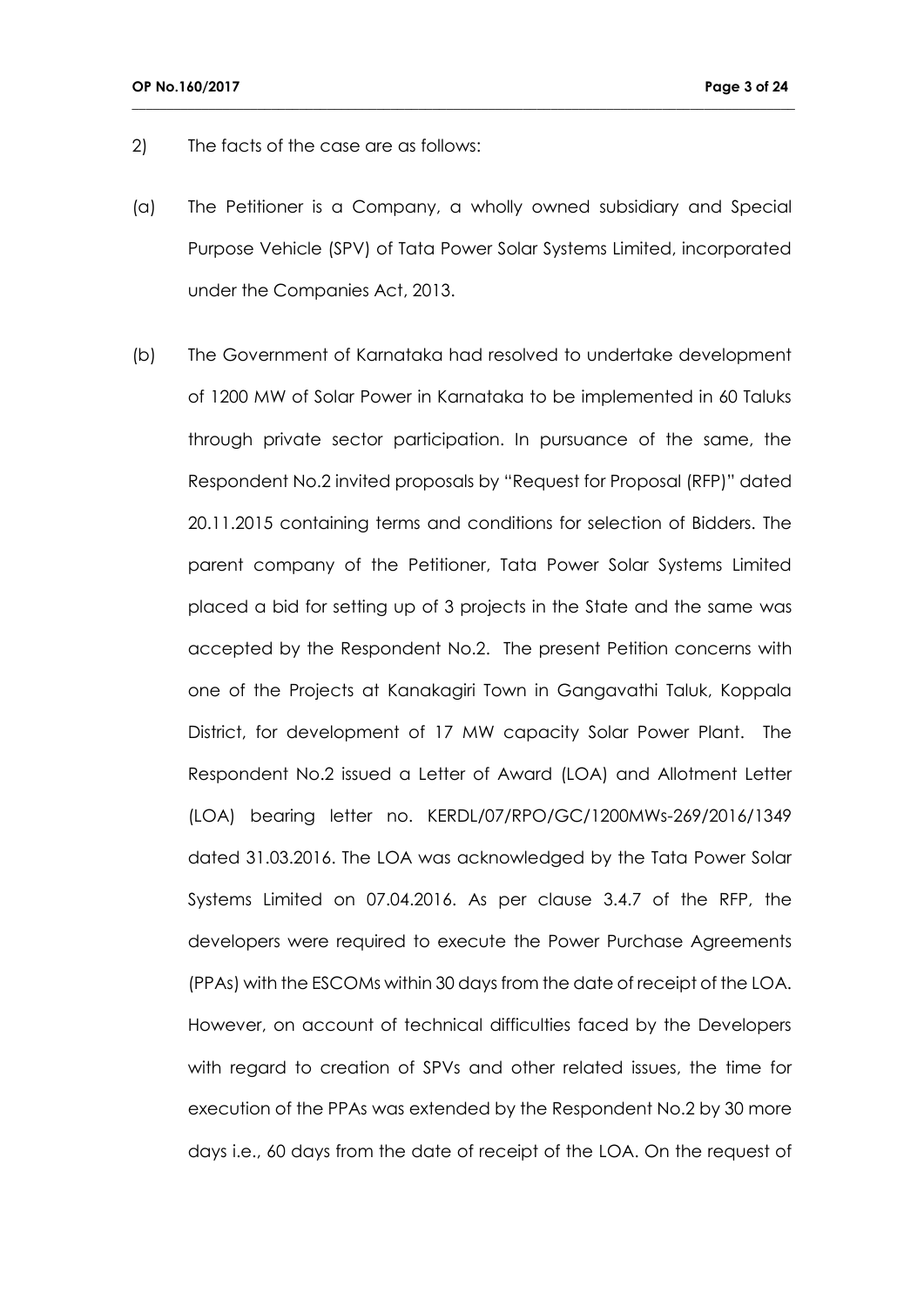- 2) The facts of the case are as follows:
- (a) The Petitioner is a Company, a wholly owned subsidiary and Special Purpose Vehicle (SPV) of Tata Power Solar Systems Limited, incorporated under the Companies Act, 2013.

**\_\_\_\_\_\_\_\_\_\_\_\_\_\_\_\_\_\_\_\_\_\_\_\_\_\_\_\_\_\_\_\_\_\_\_\_\_\_\_\_\_\_\_\_\_\_\_\_\_\_\_\_\_\_\_\_\_\_\_\_\_\_\_\_\_\_\_\_\_\_\_\_\_\_\_\_\_\_\_\_\_\_\_\_\_\_\_\_\_\_\_\_\_\_\_**

(b) The Government of Karnataka had resolved to undertake development of 1200 MW of Solar Power in Karnataka to be implemented in 60 Taluks through private sector participation. In pursuance of the same, the Respondent No.2 invited proposals by "Request for Proposal (RFP)" dated 20.11.2015 containing terms and conditions for selection of Bidders. The parent company of the Petitioner, Tata Power Solar Systems Limited placed a bid for setting up of 3 projects in the State and the same was accepted by the Respondent No.2. The present Petition concerns with one of the Projects at Kanakagiri Town in Gangavathi Taluk, Koppala District, for development of 17 MW capacity Solar Power Plant. The Respondent No.2 issued a Letter of Award (LOA) and Allotment Letter (LOA) bearing letter no. KERDL/07/RPO/GC/1200MWs-269/2016/1349 dated 31.03.2016. The LOA was acknowledged by the Tata Power Solar Systems Limited on 07.04.2016. As per clause 3.4.7 of the RFP, the developers were required to execute the Power Purchase Agreements (PPAs) with the ESCOMs within 30 days from the date of receipt of the LOA. However, on account of technical difficulties faced by the Developers with regard to creation of SPVs and other related issues, the time for execution of the PPAs was extended by the Respondent No.2 by 30 more days i.e., 60 days from the date of receipt of the LOA. On the request of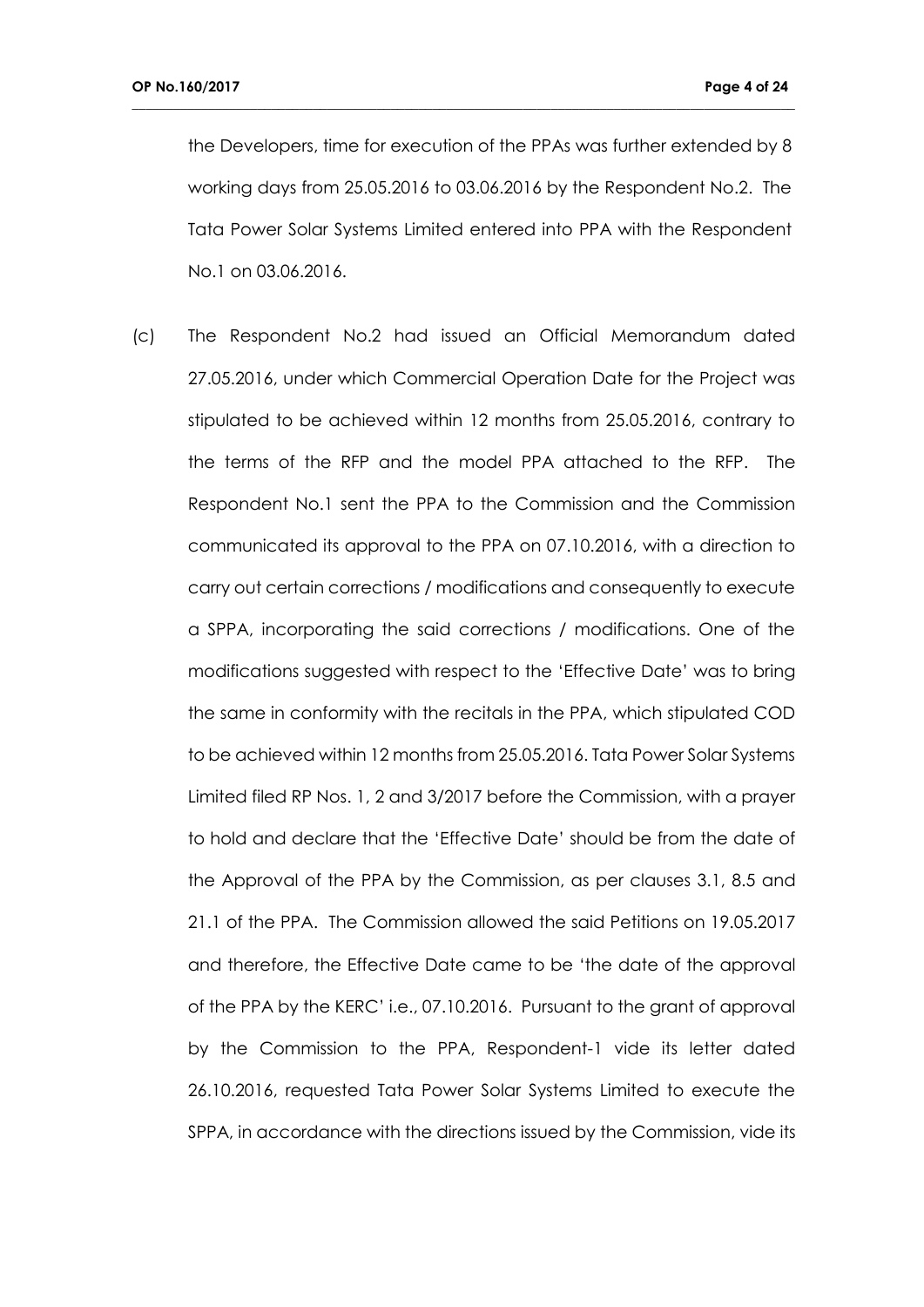the Developers, time for execution of the PPAs was further extended by 8 working days from 25.05.2016 to 03.06.2016 by the Respondent No.2. The Tata Power Solar Systems Limited entered into PPA with the Respondent No.1 on 03.06.2016.

**\_\_\_\_\_\_\_\_\_\_\_\_\_\_\_\_\_\_\_\_\_\_\_\_\_\_\_\_\_\_\_\_\_\_\_\_\_\_\_\_\_\_\_\_\_\_\_\_\_\_\_\_\_\_\_\_\_\_\_\_\_\_\_\_\_\_\_\_\_\_\_\_\_\_\_\_\_\_\_\_\_\_\_\_\_\_\_\_\_\_\_\_\_\_\_**

(c) The Respondent No.2 had issued an Official Memorandum dated 27.05.2016, under which Commercial Operation Date for the Project was stipulated to be achieved within 12 months from 25.05.2016, contrary to the terms of the RFP and the model PPA attached to the RFP. The Respondent No.1 sent the PPA to the Commission and the Commission communicated its approval to the PPA on 07.10.2016, with a direction to carry out certain corrections / modifications and consequently to execute a SPPA, incorporating the said corrections / modifications. One of the modifications suggested with respect to the 'Effective Date' was to bring the same in conformity with the recitals in the PPA, which stipulated COD to be achieved within 12 months from 25.05.2016. Tata Power Solar Systems Limited filed RP Nos. 1, 2 and 3/2017 before the Commission, with a prayer to hold and declare that the 'Effective Date' should be from the date of the Approval of the PPA by the Commission, as per clauses 3.1, 8.5 and 21.1 of the PPA. The Commission allowed the said Petitions on 19.05.2017 and therefore, the Effective Date came to be 'the date of the approval of the PPA by the KERC' i.e., 07.10.2016. Pursuant to the grant of approval by the Commission to the PPA, Respondent-1 vide its letter dated 26.10.2016, requested Tata Power Solar Systems Limited to execute the SPPA, in accordance with the directions issued by the Commission, vide its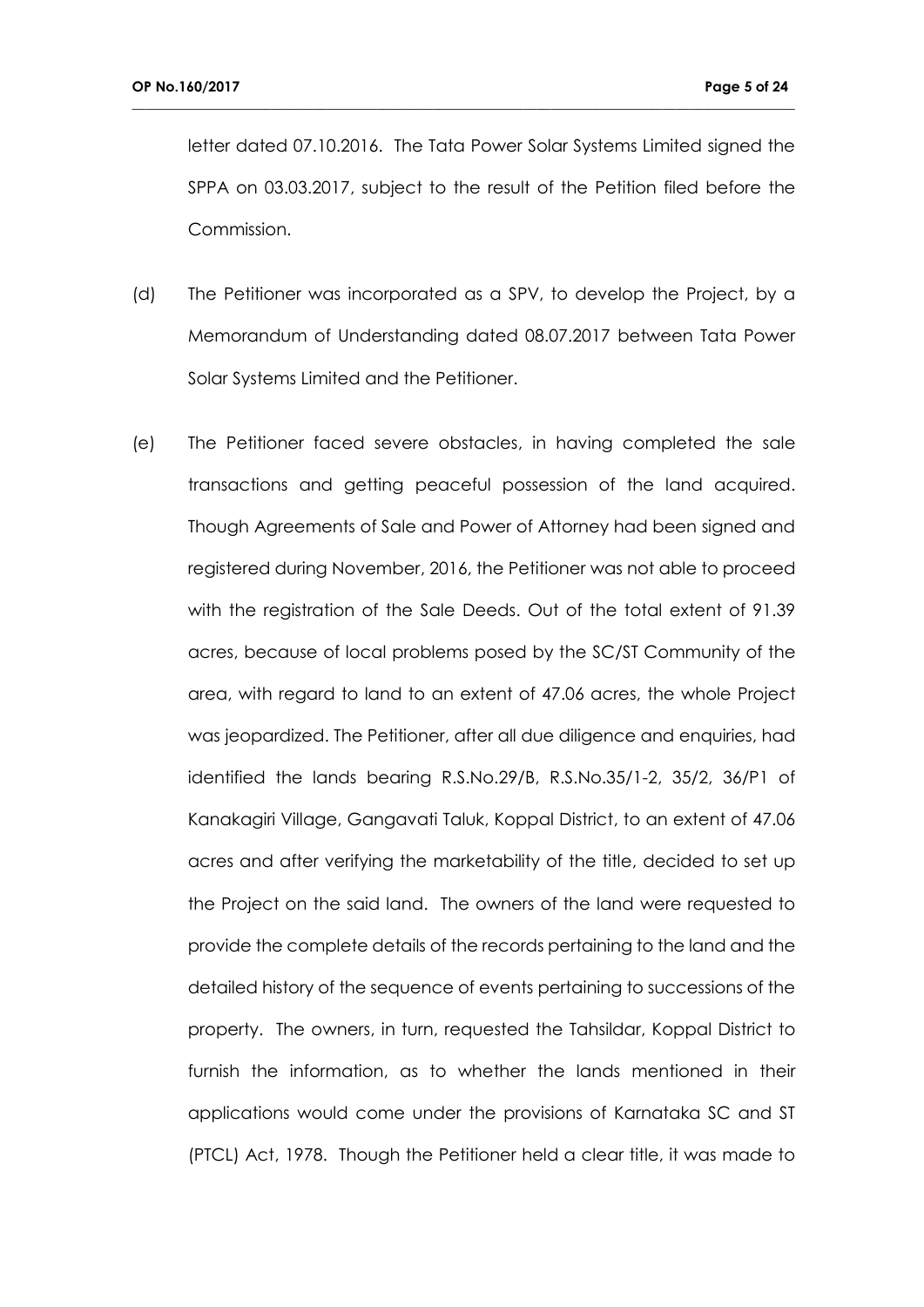letter dated 07.10.2016. The Tata Power Solar Systems Limited signed the SPPA on 03.03.2017, subject to the result of the Petition filed before the Commission.

- (d) The Petitioner was incorporated as a SPV, to develop the Project, by a Memorandum of Understanding dated 08.07.2017 between Tata Power Solar Systems Limited and the Petitioner.
- (e) The Petitioner faced severe obstacles, in having completed the sale transactions and getting peaceful possession of the land acquired. Though Agreements of Sale and Power of Attorney had been signed and registered during November, 2016, the Petitioner was not able to proceed with the registration of the Sale Deeds. Out of the total extent of 91.39 acres, because of local problems posed by the SC/ST Community of the area, with regard to land to an extent of 47.06 acres, the whole Project was jeopardized. The Petitioner, after all due diligence and enquiries, had identified the lands bearing R.S.No.29/B, R.S.No.35/1-2, 35/2, 36/P1 of Kanakagiri Village, Gangavati Taluk, Koppal District, to an extent of 47.06 acres and after verifying the marketability of the title, decided to set up the Project on the said land. The owners of the land were requested to provide the complete details of the records pertaining to the land and the detailed history of the sequence of events pertaining to successions of the property. The owners, in turn, requested the Tahsildar, Koppal District to furnish the information, as to whether the lands mentioned in their applications would come under the provisions of Karnataka SC and ST (PTCL) Act, 1978. Though the Petitioner held a clear title, it was made to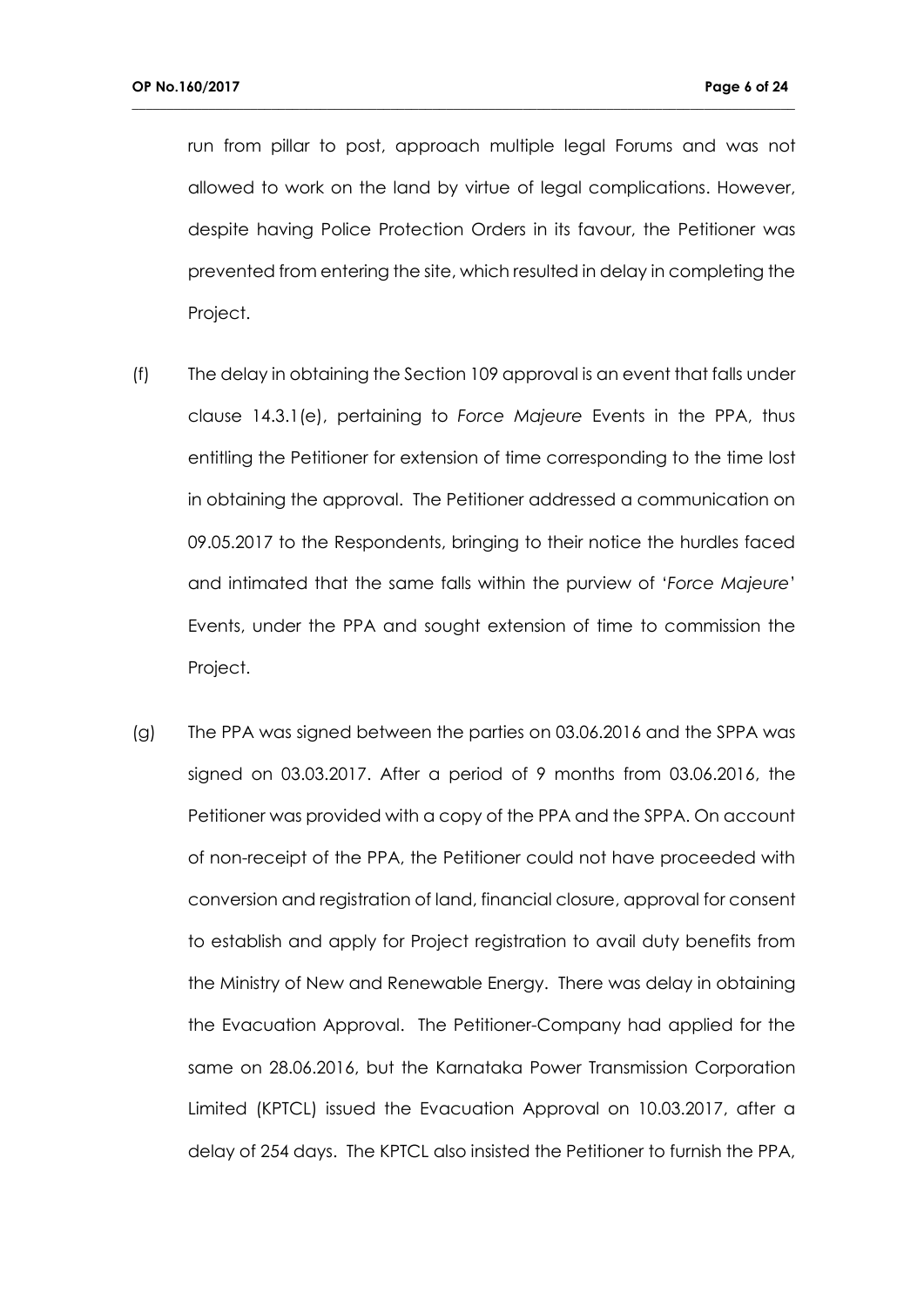run from pillar to post, approach multiple legal Forums and was not allowed to work on the land by virtue of legal complications. However, despite having Police Protection Orders in its favour, the Petitioner was prevented from entering the site, which resulted in delay in completing the Project.

- (f) The delay in obtaining the Section 109 approval is an event that falls under clause 14.3.1(e), pertaining to *Force Majeure* Events in the PPA, thus entitling the Petitioner for extension of time corresponding to the time lost in obtaining the approval. The Petitioner addressed a communication on 09.05.2017 to the Respondents, bringing to their notice the hurdles faced and intimated that the same falls within the purview of '*Force Majeure*' Events, under the PPA and sought extension of time to commission the Project.
- (g) The PPA was signed between the parties on 03.06.2016 and the SPPA was signed on 03.03.2017. After a period of 9 months from 03.06.2016, the Petitioner was provided with a copy of the PPA and the SPPA. On account of non-receipt of the PPA, the Petitioner could not have proceeded with conversion and registration of land, financial closure, approval for consent to establish and apply for Project registration to avail duty benefits from the Ministry of New and Renewable Energy. There was delay in obtaining the Evacuation Approval. The Petitioner-Company had applied for the same on 28.06.2016, but the Karnataka Power Transmission Corporation Limited (KPTCL) issued the Evacuation Approval on 10.03.2017, after a delay of 254 days. The KPTCL also insisted the Petitioner to furnish the PPA,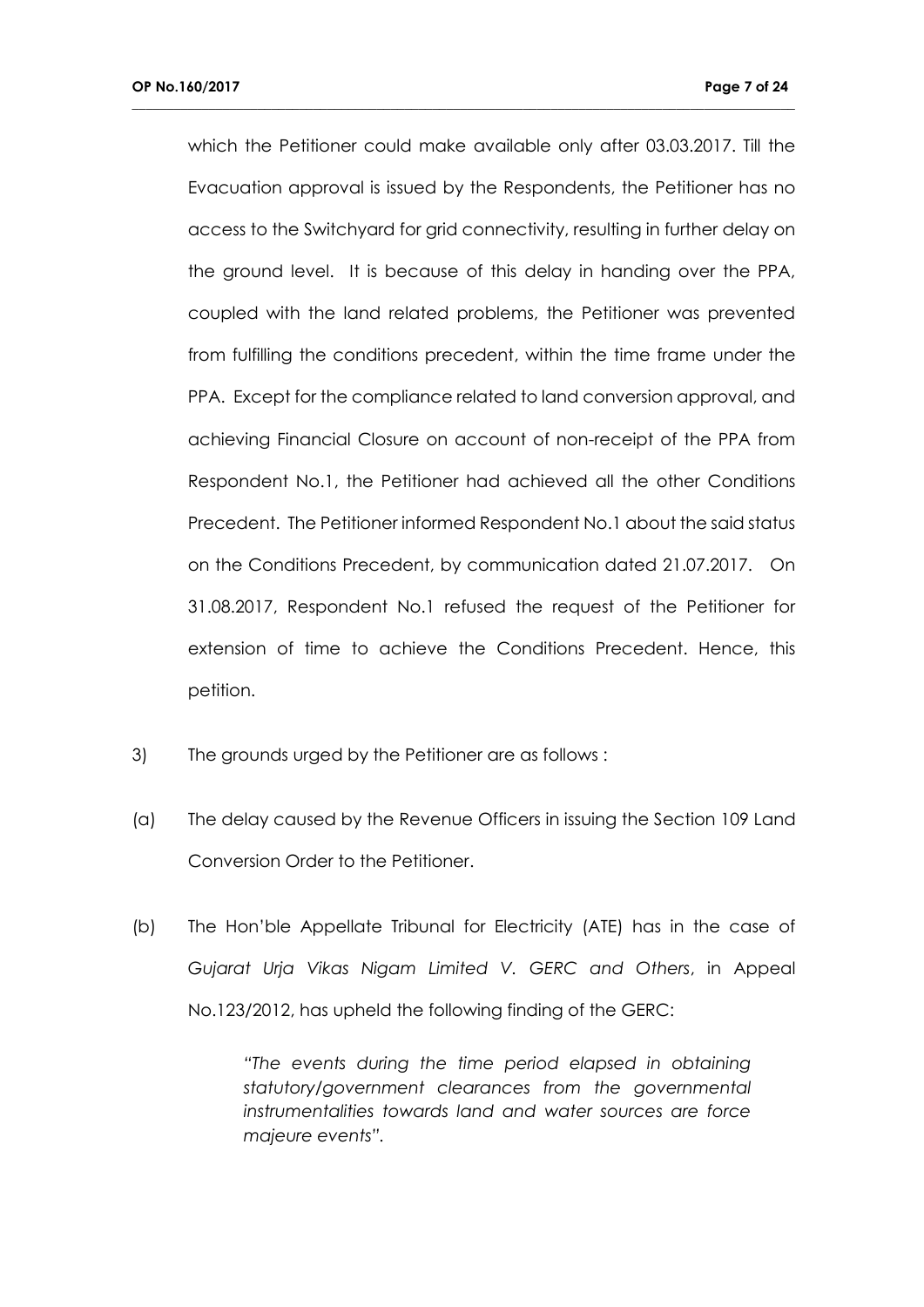which the Petitioner could make available only after 03.03.2017. Till the Evacuation approval is issued by the Respondents, the Petitioner has no access to the Switchyard for grid connectivity, resulting in further delay on the ground level. It is because of this delay in handing over the PPA, coupled with the land related problems, the Petitioner was prevented from fulfilling the conditions precedent, within the time frame under the PPA. Except for the compliance related to land conversion approval, and achieving Financial Closure on account of non-receipt of the PPA from Respondent No.1, the Petitioner had achieved all the other Conditions Precedent. The Petitioner informed Respondent No.1 about the said status on the Conditions Precedent, by communication dated 21.07.2017. On 31.08.2017, Respondent No.1 refused the request of the Petitioner for extension of time to achieve the Conditions Precedent. Hence, this petition.

**\_\_\_\_\_\_\_\_\_\_\_\_\_\_\_\_\_\_\_\_\_\_\_\_\_\_\_\_\_\_\_\_\_\_\_\_\_\_\_\_\_\_\_\_\_\_\_\_\_\_\_\_\_\_\_\_\_\_\_\_\_\_\_\_\_\_\_\_\_\_\_\_\_\_\_\_\_\_\_\_\_\_\_\_\_\_\_\_\_\_\_\_\_\_\_**

- 3) The grounds urged by the Petitioner are as follows :
- (a) The delay caused by the Revenue Officers in issuing the Section 109 Land Conversion Order to the Petitioner.
- (b) The Hon'ble Appellate Tribunal for Electricity (ATE) has in the case of *Gujarat Urja Vikas Nigam Limited V. GERC and Others*, in Appeal No.123/2012, has upheld the following finding of the GERC:

*"The events during the time period elapsed in obtaining statutory/government clearances from the governmental instrumentalities towards land and water sources are force majeure events".*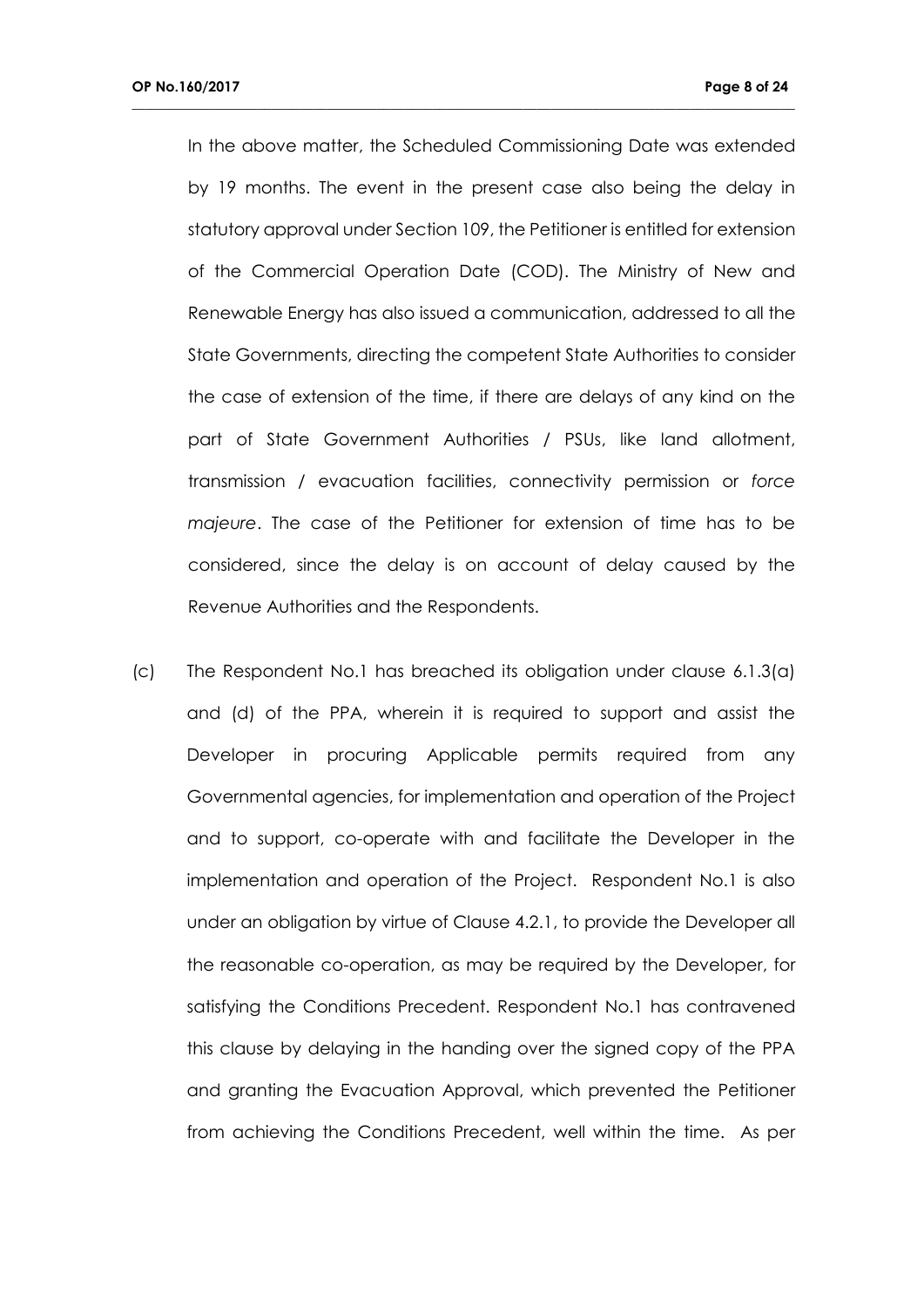In the above matter, the Scheduled Commissioning Date was extended by 19 months. The event in the present case also being the delay in statutory approval under Section 109, the Petitioner is entitled for extension of the Commercial Operation Date (COD). The Ministry of New and Renewable Energy has also issued a communication, addressed to all the State Governments, directing the competent State Authorities to consider the case of extension of the time, if there are delays of any kind on the part of State Government Authorities / PSUs, like land allotment, transmission / evacuation facilities, connectivity permission or *force majeure*. The case of the Petitioner for extension of time has to be considered, since the delay is on account of delay caused by the Revenue Authorities and the Respondents.

**\_\_\_\_\_\_\_\_\_\_\_\_\_\_\_\_\_\_\_\_\_\_\_\_\_\_\_\_\_\_\_\_\_\_\_\_\_\_\_\_\_\_\_\_\_\_\_\_\_\_\_\_\_\_\_\_\_\_\_\_\_\_\_\_\_\_\_\_\_\_\_\_\_\_\_\_\_\_\_\_\_\_\_\_\_\_\_\_\_\_\_\_\_\_\_**

(c) The Respondent No.1 has breached its obligation under clause 6.1.3(a) and (d) of the PPA, wherein it is required to support and assist the Developer in procuring Applicable permits required from any Governmental agencies, for implementation and operation of the Project and to support, co-operate with and facilitate the Developer in the implementation and operation of the Project. Respondent No.1 is also under an obligation by virtue of Clause 4.2.1, to provide the Developer all the reasonable co-operation, as may be required by the Developer, for satisfying the Conditions Precedent. Respondent No.1 has contravened this clause by delaying in the handing over the signed copy of the PPA and granting the Evacuation Approval, which prevented the Petitioner from achieving the Conditions Precedent, well within the time. As per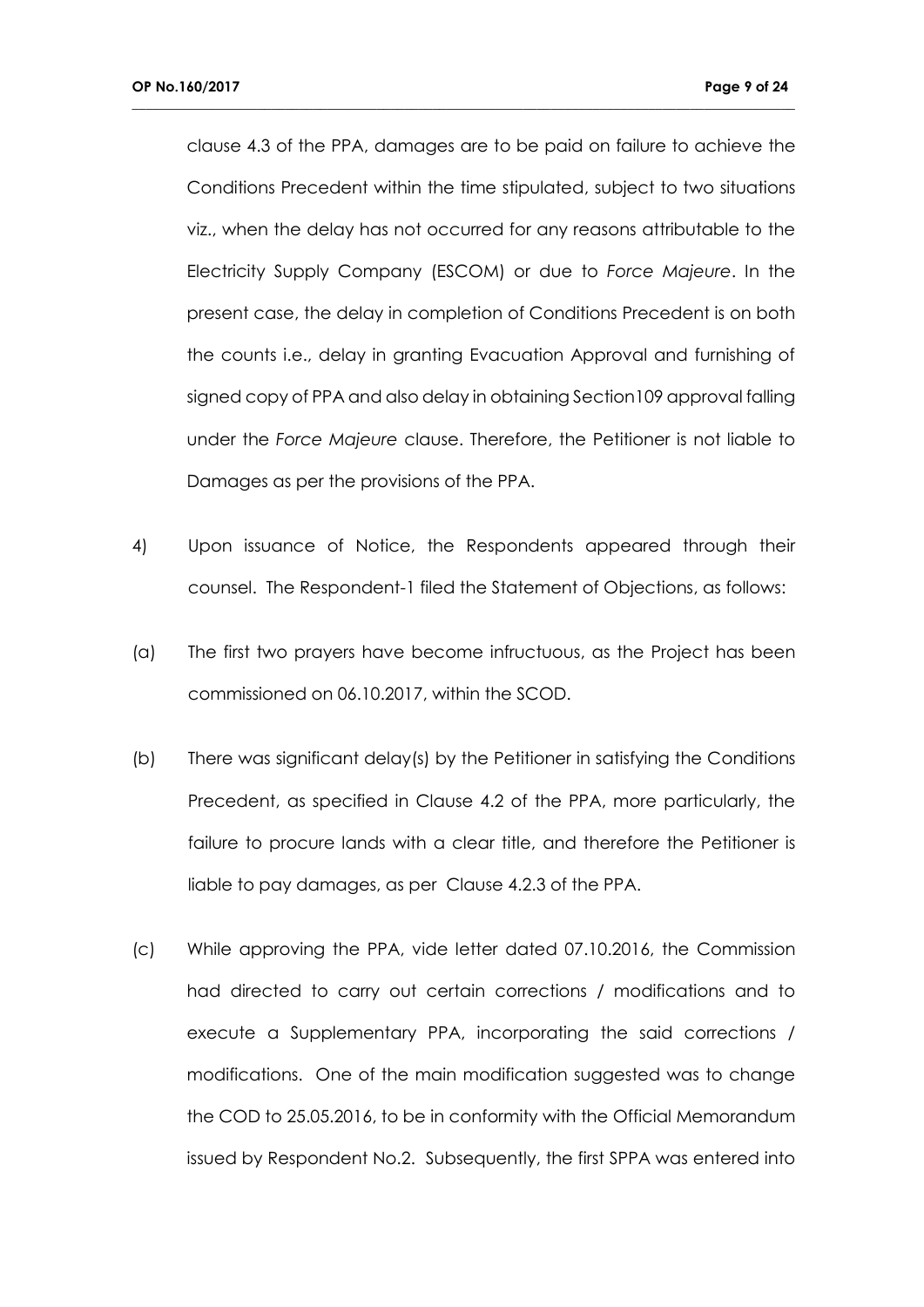clause 4.3 of the PPA, damages are to be paid on failure to achieve the Conditions Precedent within the time stipulated, subject to two situations viz., when the delay has not occurred for any reasons attributable to the Electricity Supply Company (ESCOM) or due to *Force Majeure*. In the present case, the delay in completion of Conditions Precedent is on both the counts i.e., delay in granting Evacuation Approval and furnishing of signed copy of PPA and also delay in obtaining Section109 approval falling under the *Force Majeure* clause. Therefore, the Petitioner is not liable to Damages as per the provisions of the PPA.

- 4) Upon issuance of Notice, the Respondents appeared through their counsel. The Respondent-1 filed the Statement of Objections, as follows:
- (a) The first two prayers have become infructuous, as the Project has been commissioned on 06.10.2017, within the SCOD.
- (b) There was significant delay(s) by the Petitioner in satisfying the Conditions Precedent, as specified in Clause 4.2 of the PPA, more particularly, the failure to procure lands with a clear title, and therefore the Petitioner is liable to pay damages, as per Clause 4.2.3 of the PPA.
- (c) While approving the PPA, vide letter dated 07.10.2016, the Commission had directed to carry out certain corrections / modifications and to execute a Supplementary PPA, incorporating the said corrections / modifications. One of the main modification suggested was to change the COD to 25.05.2016, to be in conformity with the Official Memorandum issued by Respondent No.2. Subsequently, the first SPPA was entered into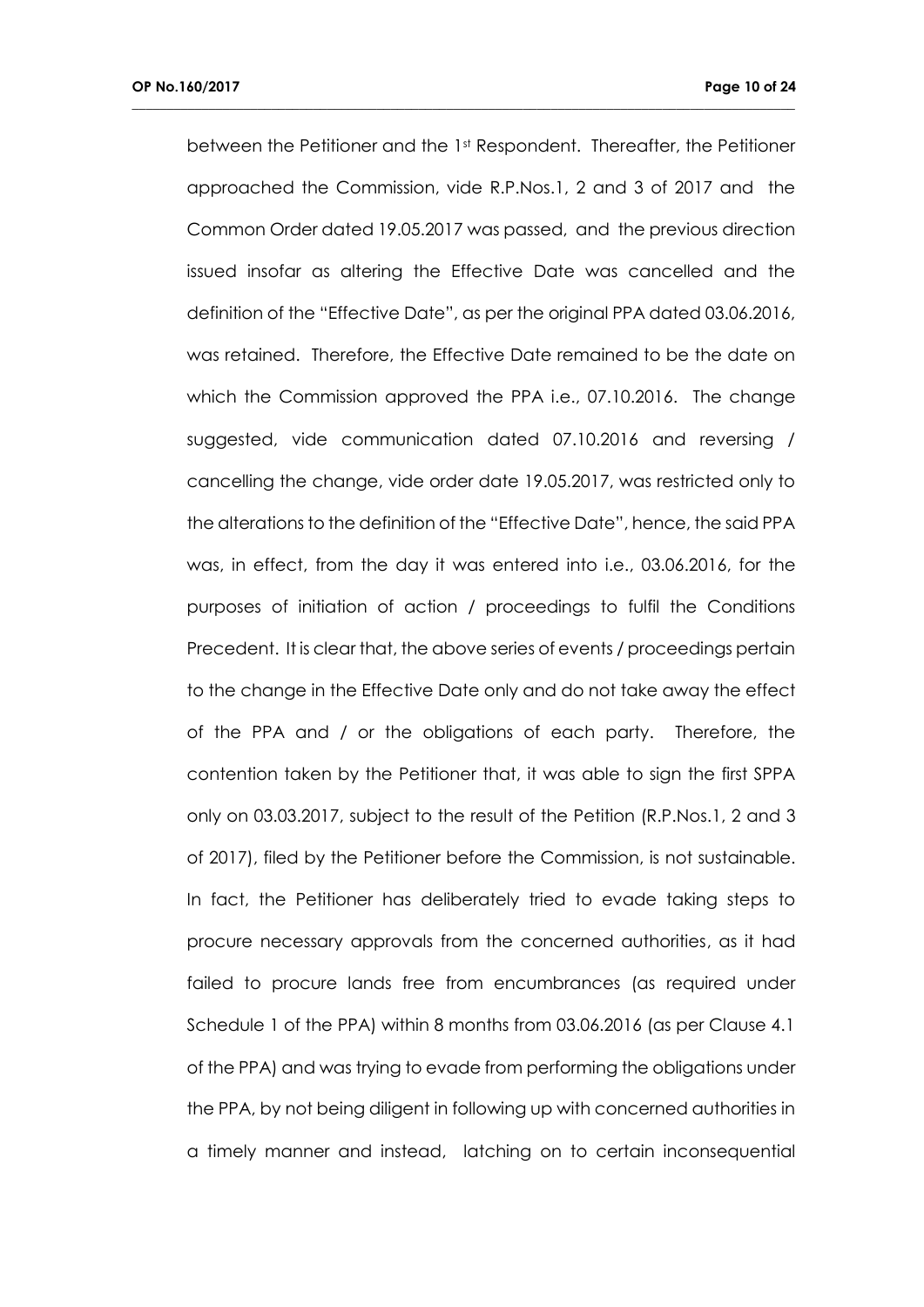between the Petitioner and the 1st Respondent. Thereafter, the Petitioner approached the Commission, vide R.P.Nos.1, 2 and 3 of 2017 and the Common Order dated 19.05.2017 was passed, and the previous direction issued insofar as altering the Effective Date was cancelled and the definition of the "Effective Date", as per the original PPA dated 03.06.2016, was retained. Therefore, the Effective Date remained to be the date on which the Commission approved the PPA i.e., 07.10.2016. The change suggested, vide communication dated 07.10.2016 and reversing / cancelling the change, vide order date 19.05.2017, was restricted only to the alterations to the definition of the "Effective Date", hence, the said PPA was, in effect, from the day it was entered into i.e., 03.06.2016, for the purposes of initiation of action / proceedings to fulfil the Conditions Precedent. It is clear that, the above series of events / proceedings pertain to the change in the Effective Date only and do not take away the effect of the PPA and / or the obligations of each party. Therefore, the contention taken by the Petitioner that, it was able to sign the first SPPA only on 03.03.2017, subject to the result of the Petition (R.P.Nos.1, 2 and 3 of 2017), filed by the Petitioner before the Commission, is not sustainable. In fact, the Petitioner has deliberately tried to evade taking steps to procure necessary approvals from the concerned authorities, as it had failed to procure lands free from encumbrances (as required under Schedule 1 of the PPA) within 8 months from 03.06.2016 (as per Clause 4.1 of the PPA) and was trying to evade from performing the obligations under the PPA, by not being diligent in following up with concerned authorities in a timely manner and instead, latching on to certain inconsequential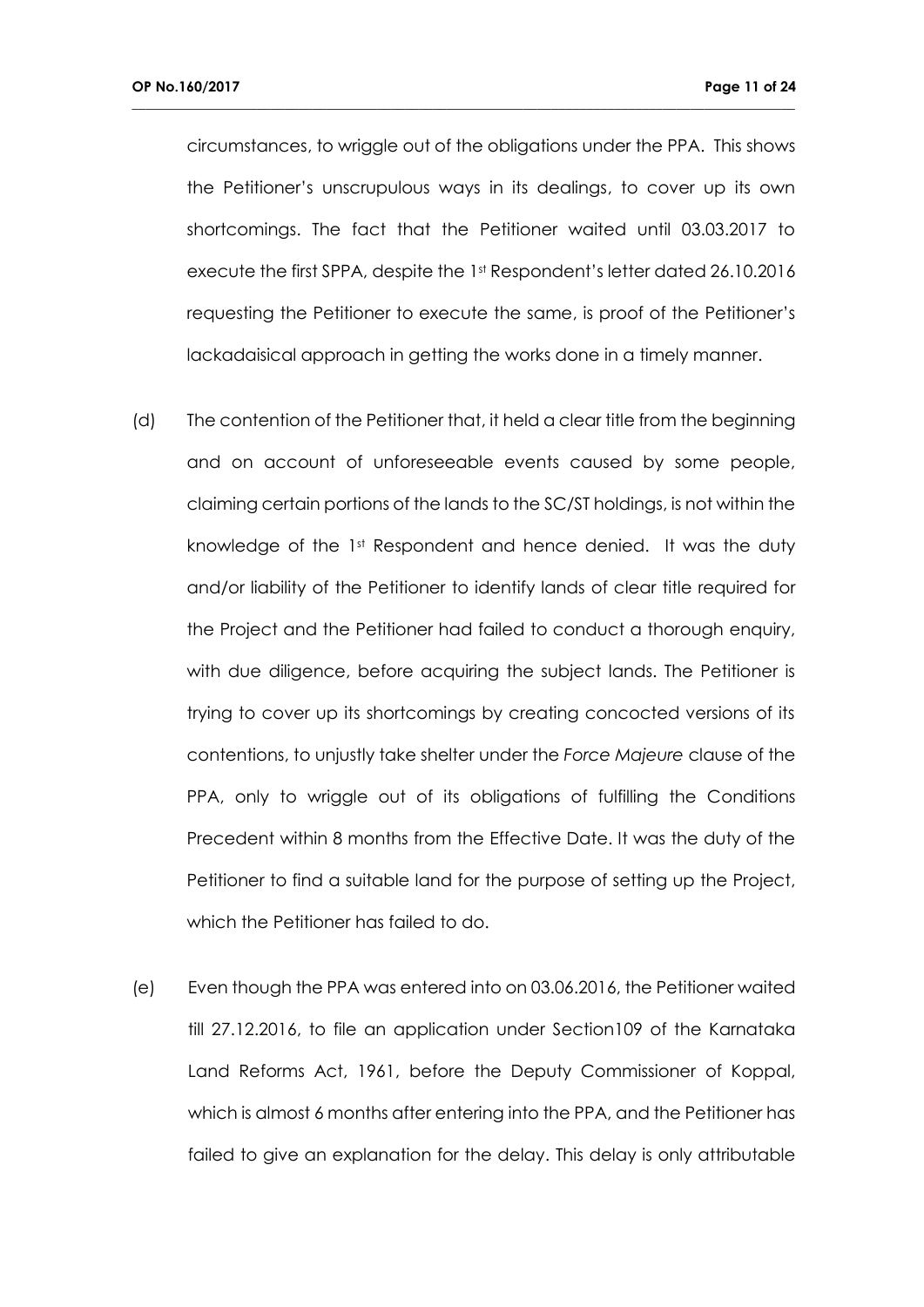circumstances, to wriggle out of the obligations under the PPA. This shows the Petitioner's unscrupulous ways in its dealings, to cover up its own shortcomings. The fact that the Petitioner waited until 03.03.2017 to execute the first SPPA, despite the 1st Respondent's letter dated 26.10.2016 requesting the Petitioner to execute the same, is proof of the Petitioner's lackadaisical approach in getting the works done in a timely manner.

- (d) The contention of the Petitioner that, it held a clear title from the beginning and on account of unforeseeable events caused by some people, claiming certain portions of the lands to the SC/ST holdings, is not within the knowledge of the 1st Respondent and hence denied. It was the duty and/or liability of the Petitioner to identify lands of clear title required for the Project and the Petitioner had failed to conduct a thorough enquiry, with due diligence, before acquiring the subject lands. The Petitioner is trying to cover up its shortcomings by creating concocted versions of its contentions, to unjustly take shelter under the *Force Majeure* clause of the PPA, only to wriggle out of its obligations of fulfilling the Conditions Precedent within 8 months from the Effective Date. It was the duty of the Petitioner to find a suitable land for the purpose of setting up the Project, which the Petitioner has failed to do.
- (e) Even though the PPA was entered into on 03.06.2016, the Petitioner waited till 27.12.2016, to file an application under Section109 of the Karnataka Land Reforms Act, 1961, before the Deputy Commissioner of Koppal, which is almost 6 months after entering into the PPA, and the Petitioner has failed to give an explanation for the delay. This delay is only attributable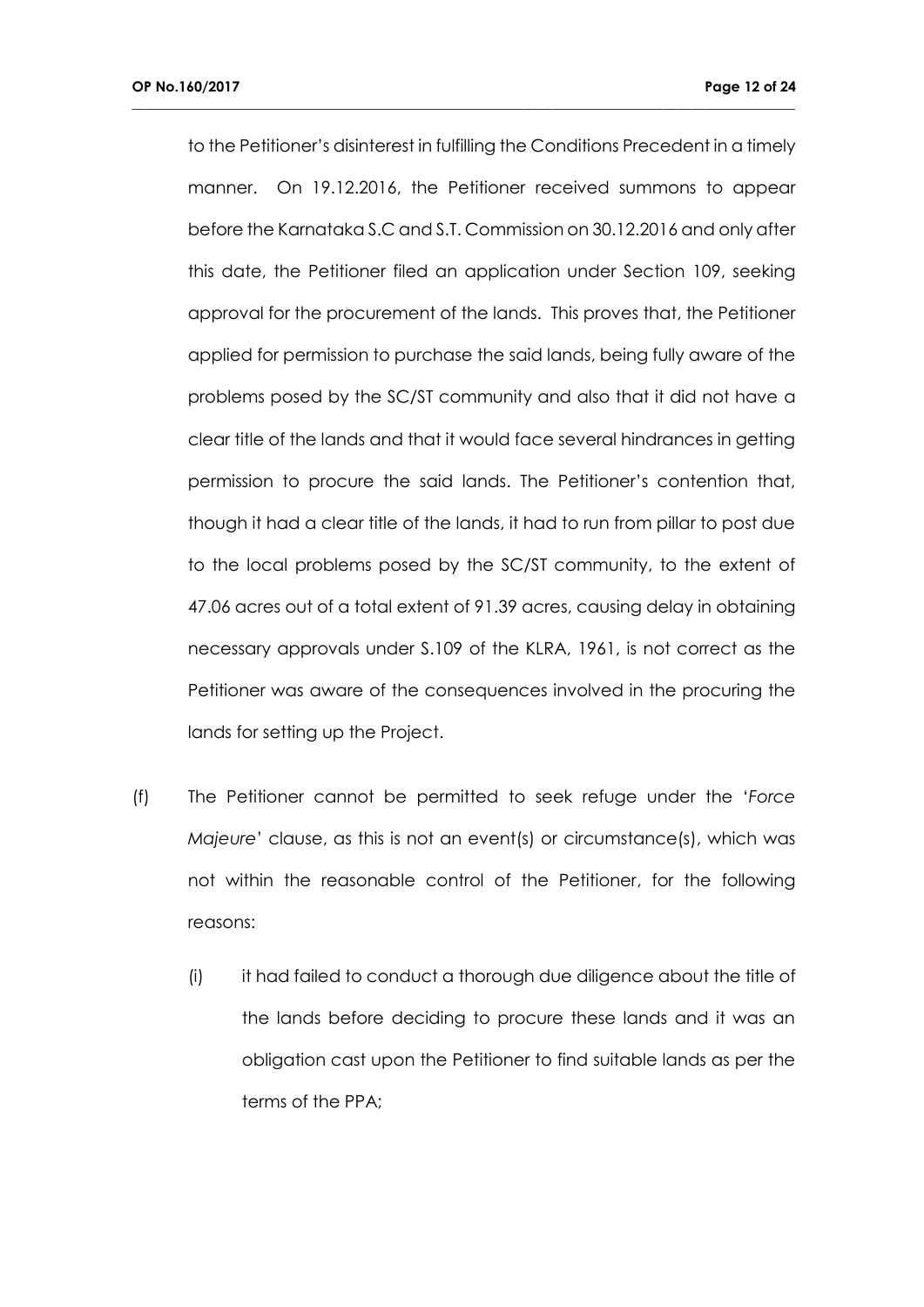to the Petitioner's disinterest in fulfilling the Conditions Precedent in a timely manner. On 19.12.2016, the Petitioner received summons to appear before the Karnataka S.C and S.T. Commission on 30.12.2016 and only after this date, the Petitioner filed an application under Section 109, seeking approval for the procurement of the lands. This proves that, the Petitioner applied for permission to purchase the said lands, being fully aware of the problems posed by the SC/ST community and also that it did not have a clear title of the lands and that it would face several hindrances in getting permission to procure the said lands. The Petitioner's contention that, though it had a clear title of the lands, it had to run from pillar to post due to the local problems posed by the SC/ST community, to the extent of 47.06 acres out of a total extent of 91.39 acres, causing delay in obtaining necessary approvals under S.109 of the KLRA, 1961, is not correct as the Petitioner was aware of the consequences involved in the procuring the lands for setting up the Project.

- (f) The Petitioner cannot be permitted to seek refuge under the '*Force Majeure*' clause, as this is not an event(s) or circumstance(s), which was not within the reasonable control of the Petitioner, for the following reasons:
	- (i) it had failed to conduct a thorough due diligence about the title of the lands before deciding to procure these lands and it was an obligation cast upon the Petitioner to find suitable lands as per the terms of the PPA;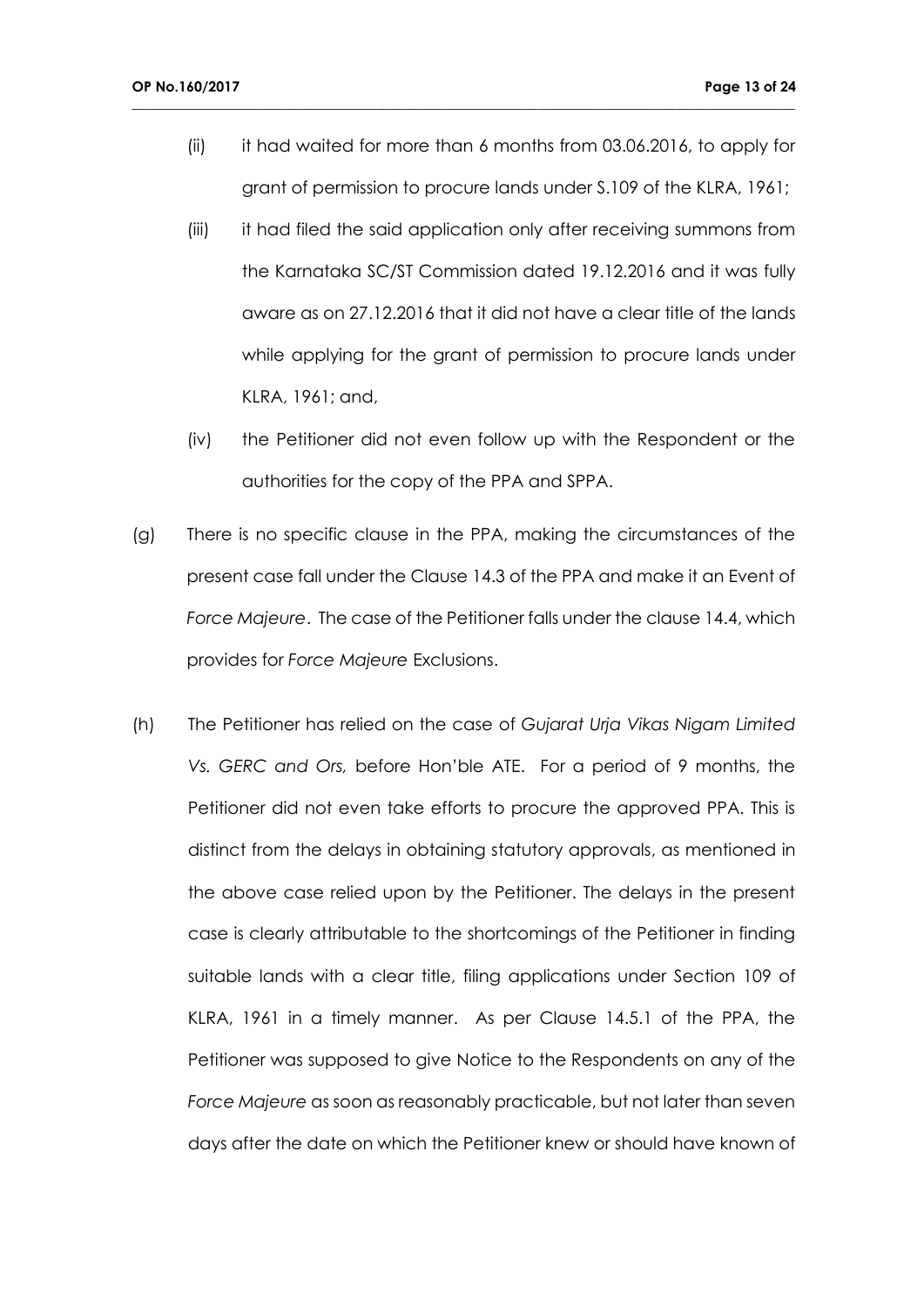(ii) it had waited for more than 6 months from 03.06.2016, to apply for grant of permission to procure lands under S.109 of the KLRA, 1961;

- (iii) it had filed the said application only after receiving summons from the Karnataka SC/ST Commission dated 19.12.2016 and it was fully aware as on 27.12.2016 that it did not have a clear title of the lands while applying for the grant of permission to procure lands under KLRA, 1961; and,
- (iv) the Petitioner did not even follow up with the Respondent or the authorities for the copy of the PPA and SPPA.
- (g) There is no specific clause in the PPA, making the circumstances of the present case fall under the Clause 14.3 of the PPA and make it an Event of *Force Majeure*. The case of the Petitioner falls under the clause 14.4, which provides for *Force Majeure* Exclusions.
- (h) The Petitioner has relied on the case of *Gujarat Urja Vikas Nigam Limited Vs. GERC and Ors,* before Hon'ble ATE. For a period of 9 months, the Petitioner did not even take efforts to procure the approved PPA. This is distinct from the delays in obtaining statutory approvals, as mentioned in the above case relied upon by the Petitioner. The delays in the present case is clearly attributable to the shortcomings of the Petitioner in finding suitable lands with a clear title, filing applications under Section 109 of KLRA, 1961 in a timely manner. As per Clause 14.5.1 of the PPA, the Petitioner was supposed to give Notice to the Respondents on any of the *Force Majeure* as soon as reasonably practicable, but not later than seven days after the date on which the Petitioner knew or should have known of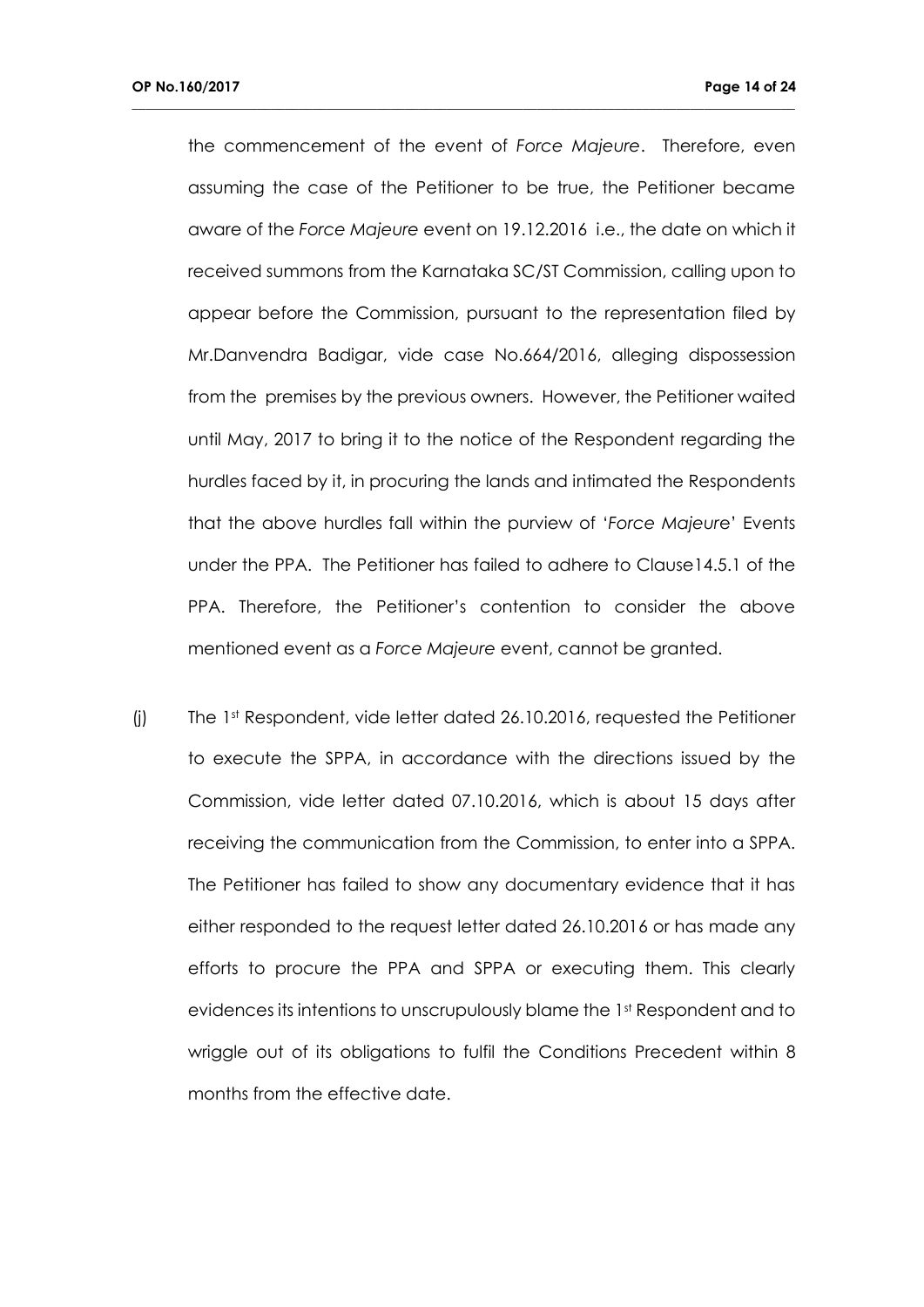the commencement of the event of *Force Majeure*. Therefore, even assuming the case of the Petitioner to be true, the Petitioner became aware of the *Force Majeure* event on 19.12.2016 i.e., the date on which it received summons from the Karnataka SC/ST Commission, calling upon to appear before the Commission, pursuant to the representation filed by Mr.Danvendra Badigar, vide case No.664/2016, alleging dispossession from the premises by the previous owners. However, the Petitioner waited until May, 2017 to bring it to the notice of the Respondent regarding the hurdles faced by it, in procuring the lands and intimated the Respondents that the above hurdles fall within the purview of '*Force Majeur*e' Events under the PPA. The Petitioner has failed to adhere to Clause14.5.1 of the PPA. Therefore, the Petitioner's contention to consider the above mentioned event as a *Force Majeure* event, cannot be granted.

**\_\_\_\_\_\_\_\_\_\_\_\_\_\_\_\_\_\_\_\_\_\_\_\_\_\_\_\_\_\_\_\_\_\_\_\_\_\_\_\_\_\_\_\_\_\_\_\_\_\_\_\_\_\_\_\_\_\_\_\_\_\_\_\_\_\_\_\_\_\_\_\_\_\_\_\_\_\_\_\_\_\_\_\_\_\_\_\_\_\_\_\_\_\_\_**

(j) The 1st Respondent, vide letter dated 26.10.2016, requested the Petitioner to execute the SPPA, in accordance with the directions issued by the Commission, vide letter dated 07.10.2016, which is about 15 days after receiving the communication from the Commission, to enter into a SPPA. The Petitioner has failed to show any documentary evidence that it has either responded to the request letter dated 26.10.2016 or has made any efforts to procure the PPA and SPPA or executing them. This clearly evidences its intentions to unscrupulously blame the 1st Respondent and to wriggle out of its obligations to fulfil the Conditions Precedent within 8 months from the effective date.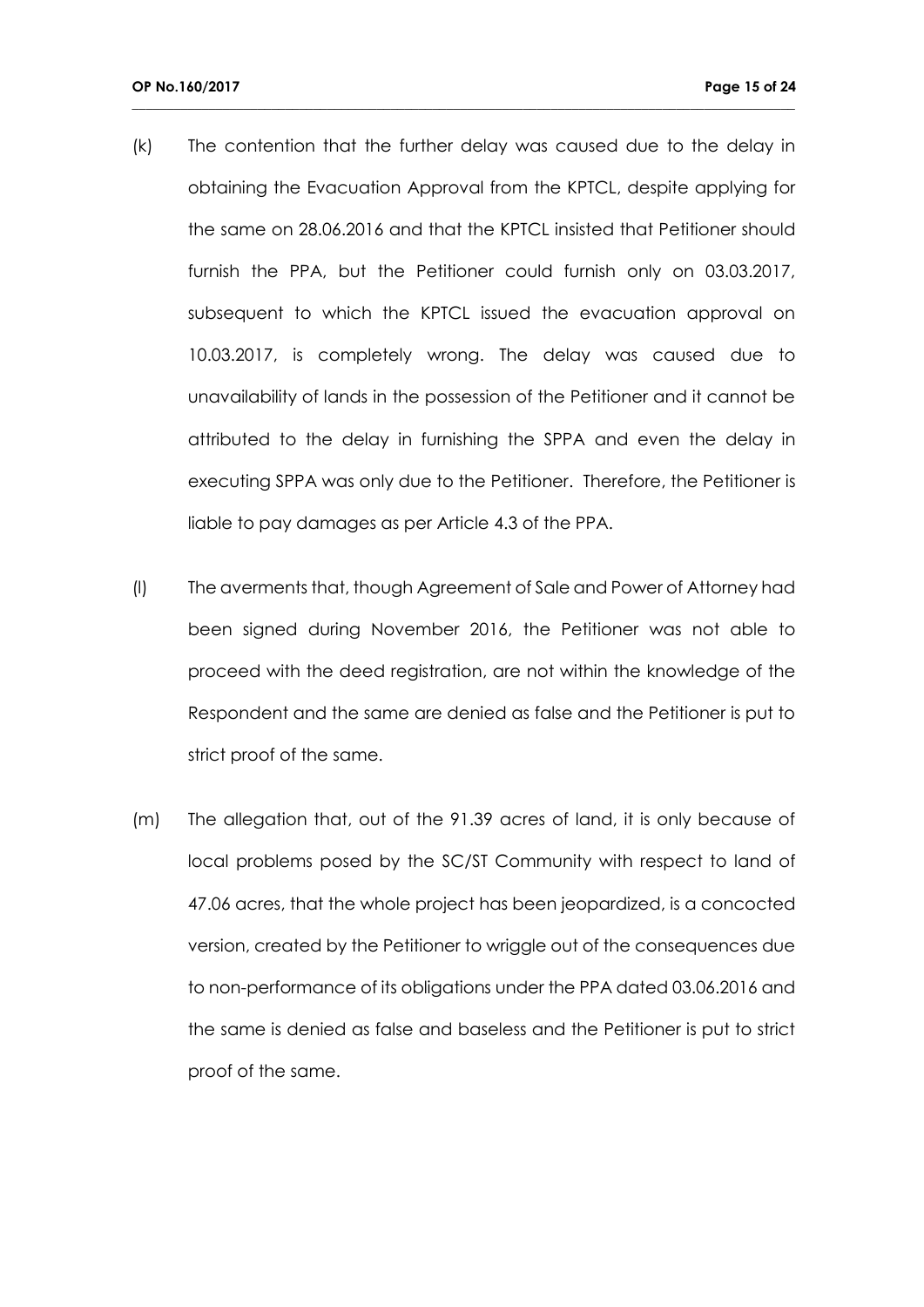(k) The contention that the further delay was caused due to the delay in obtaining the Evacuation Approval from the KPTCL, despite applying for the same on 28.06.2016 and that the KPTCL insisted that Petitioner should furnish the PPA, but the Petitioner could furnish only on 03.03.2017, subsequent to which the KPTCL issued the evacuation approval on 10.03.2017, is completely wrong. The delay was caused due to unavailability of lands in the possession of the Petitioner and it cannot be attributed to the delay in furnishing the SPPA and even the delay in executing SPPA was only due to the Petitioner. Therefore, the Petitioner is liable to pay damages as per Article 4.3 of the PPA.

- (l) The averments that, though Agreement of Sale and Power of Attorney had been signed during November 2016, the Petitioner was not able to proceed with the deed registration, are not within the knowledge of the Respondent and the same are denied as false and the Petitioner is put to strict proof of the same.
- (m) The allegation that, out of the 91.39 acres of land, it is only because of local problems posed by the SC/ST Community with respect to land of 47.06 acres, that the whole project has been jeopardized, is a concocted version, created by the Petitioner to wriggle out of the consequences due to non-performance of its obligations under the PPA dated 03.06.2016 and the same is denied as false and baseless and the Petitioner is put to strict proof of the same.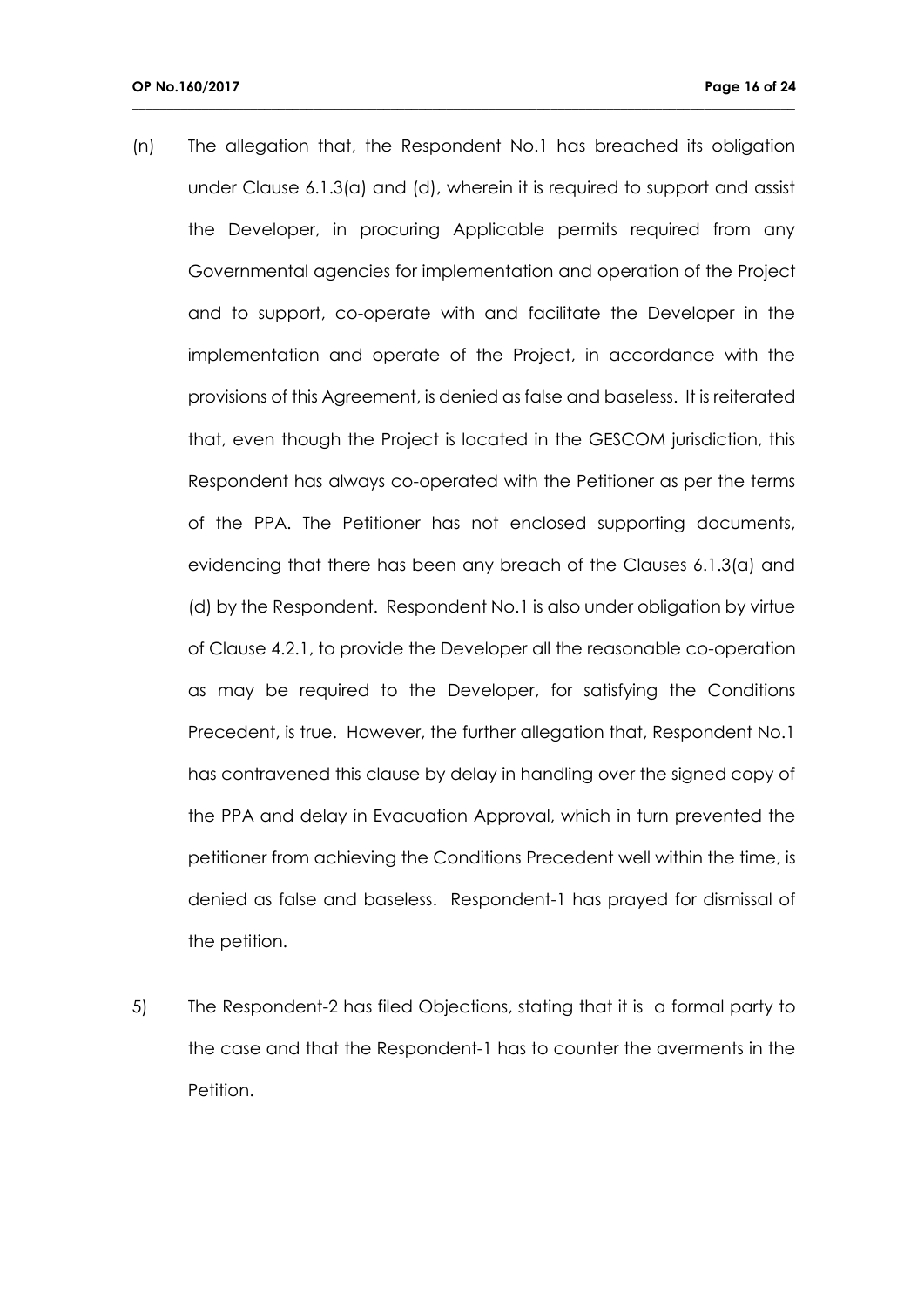(n) The allegation that, the Respondent No.1 has breached its obligation under Clause 6.1.3(a) and (d), wherein it is required to support and assist the Developer, in procuring Applicable permits required from any Governmental agencies for implementation and operation of the Project and to support, co-operate with and facilitate the Developer in the implementation and operate of the Project, in accordance with the provisions of this Agreement, is denied as false and baseless. It is reiterated that, even though the Project is located in the GESCOM jurisdiction, this Respondent has always co-operated with the Petitioner as per the terms of the PPA. The Petitioner has not enclosed supporting documents, evidencing that there has been any breach of the Clauses 6.1.3(a) and (d) by the Respondent. Respondent No.1 is also under obligation by virtue of Clause 4.2.1, to provide the Developer all the reasonable co-operation as may be required to the Developer, for satisfying the Conditions Precedent, is true. However, the further allegation that, Respondent No.1 has contravened this clause by delay in handling over the signed copy of the PPA and delay in Evacuation Approval, which in turn prevented the petitioner from achieving the Conditions Precedent well within the time, is denied as false and baseless. Respondent-1 has prayed for dismissal of the petition.

**\_\_\_\_\_\_\_\_\_\_\_\_\_\_\_\_\_\_\_\_\_\_\_\_\_\_\_\_\_\_\_\_\_\_\_\_\_\_\_\_\_\_\_\_\_\_\_\_\_\_\_\_\_\_\_\_\_\_\_\_\_\_\_\_\_\_\_\_\_\_\_\_\_\_\_\_\_\_\_\_\_\_\_\_\_\_\_\_\_\_\_\_\_\_\_**

5) The Respondent-2 has filed Objections, stating that it is a formal party to the case and that the Respondent-1 has to counter the averments in the Petition.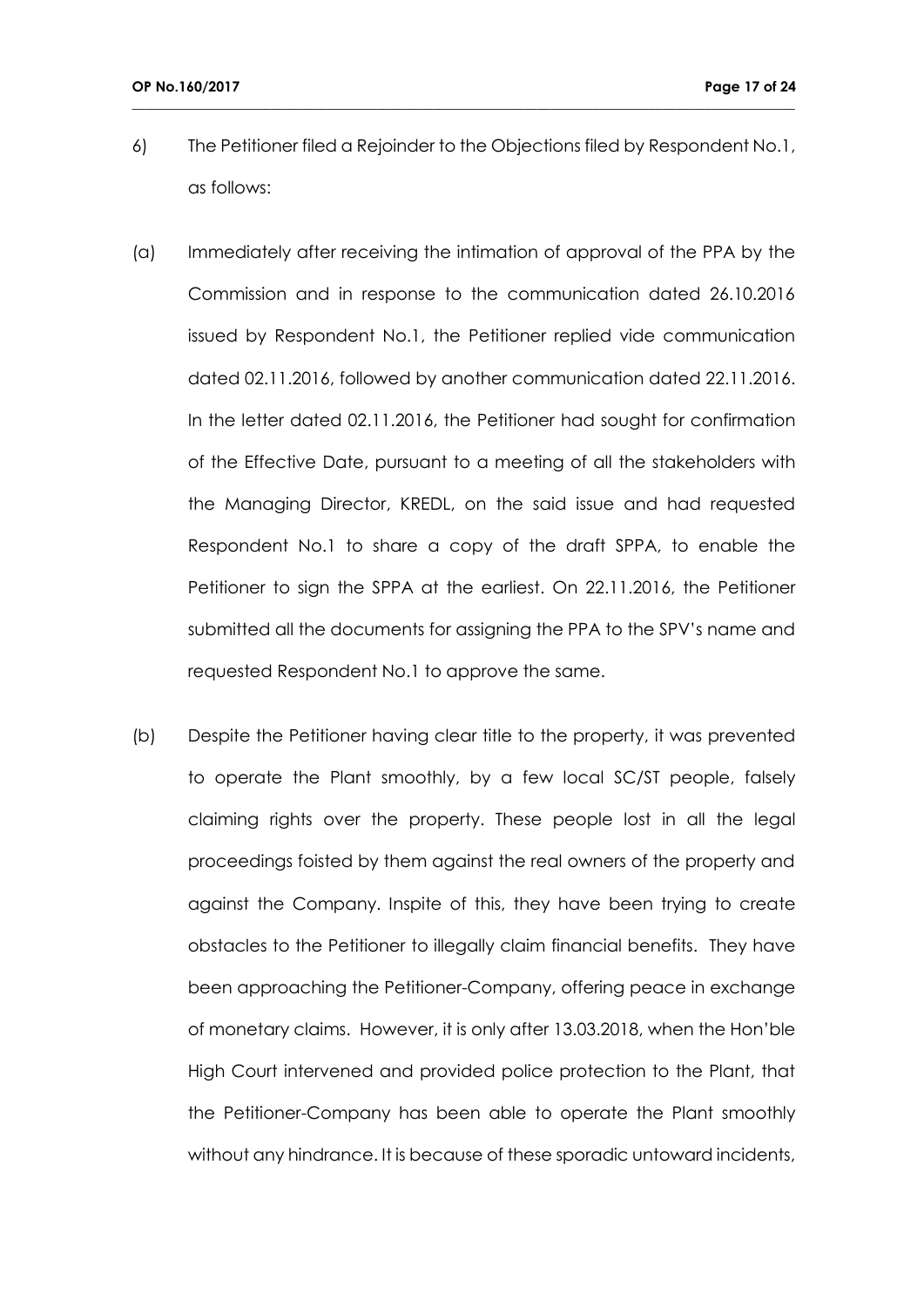6) The Petitioner filed a Rejoinder to the Objections filed by Respondent No.1, as follows:

- (a) Immediately after receiving the intimation of approval of the PPA by the Commission and in response to the communication dated 26.10.2016 issued by Respondent No.1, the Petitioner replied vide communication dated 02.11.2016, followed by another communication dated 22.11.2016. In the letter dated 02.11.2016, the Petitioner had sought for confirmation of the Effective Date, pursuant to a meeting of all the stakeholders with the Managing Director, KREDL, on the said issue and had requested Respondent No.1 to share a copy of the draft SPPA, to enable the Petitioner to sign the SPPA at the earliest. On 22.11.2016, the Petitioner submitted all the documents for assigning the PPA to the SPV's name and requested Respondent No.1 to approve the same.
- (b) Despite the Petitioner having clear title to the property, it was prevented to operate the Plant smoothly, by a few local SC/ST people, falsely claiming rights over the property. These people lost in all the legal proceedings foisted by them against the real owners of the property and against the Company. Inspite of this, they have been trying to create obstacles to the Petitioner to illegally claim financial benefits. They have been approaching the Petitioner-Company, offering peace in exchange of monetary claims. However, it is only after 13.03.2018, when the Hon'ble High Court intervened and provided police protection to the Plant, that the Petitioner-Company has been able to operate the Plant smoothly without any hindrance. It is because of these sporadic untoward incidents,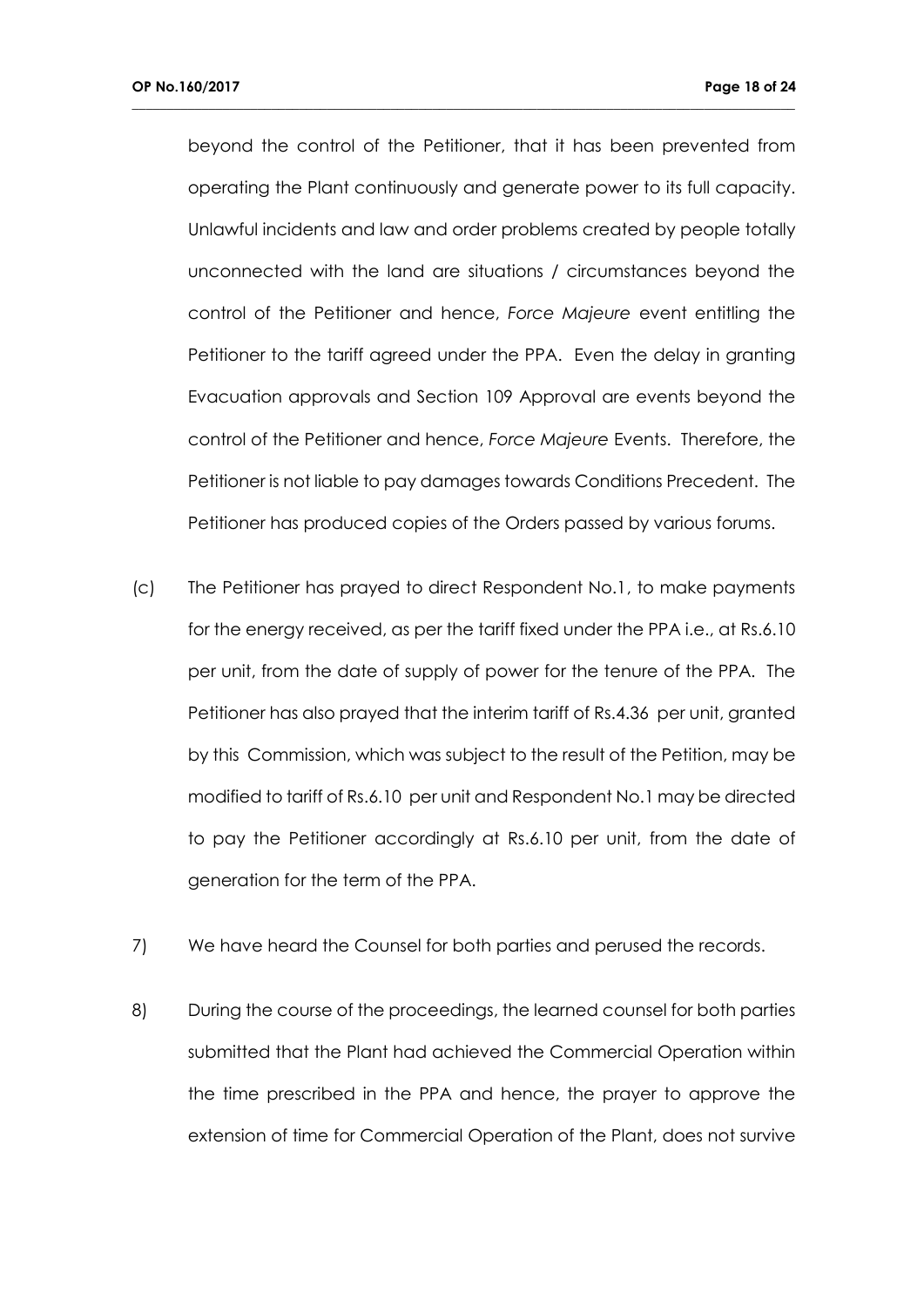beyond the control of the Petitioner, that it has been prevented from operating the Plant continuously and generate power to its full capacity. Unlawful incidents and law and order problems created by people totally unconnected with the land are situations / circumstances beyond the control of the Petitioner and hence, *Force Majeure* event entitling the Petitioner to the tariff agreed under the PPA. Even the delay in granting Evacuation approvals and Section 109 Approval are events beyond the control of the Petitioner and hence, *Force Majeure* Events. Therefore, the Petitioner is not liable to pay damages towards Conditions Precedent. The Petitioner has produced copies of the Orders passed by various forums.

- (c) The Petitioner has prayed to direct Respondent No.1, to make payments for the energy received, as per the tariff fixed under the PPA i.e., at Rs.6.10 per unit, from the date of supply of power for the tenure of the PPA. The Petitioner has also prayed that the interim tariff of Rs.4.36 per unit, granted by this Commission, which was subject to the result of the Petition, may be modified to tariff of Rs.6.10 per unit and Respondent No.1 may be directed to pay the Petitioner accordingly at Rs.6.10 per unit, from the date of generation for the term of the PPA.
- 7) We have heard the Counsel for both parties and perused the records.
- 8) During the course of the proceedings, the learned counsel for both parties submitted that the Plant had achieved the Commercial Operation within the time prescribed in the PPA and hence, the prayer to approve the extension of time for Commercial Operation of the Plant, does not survive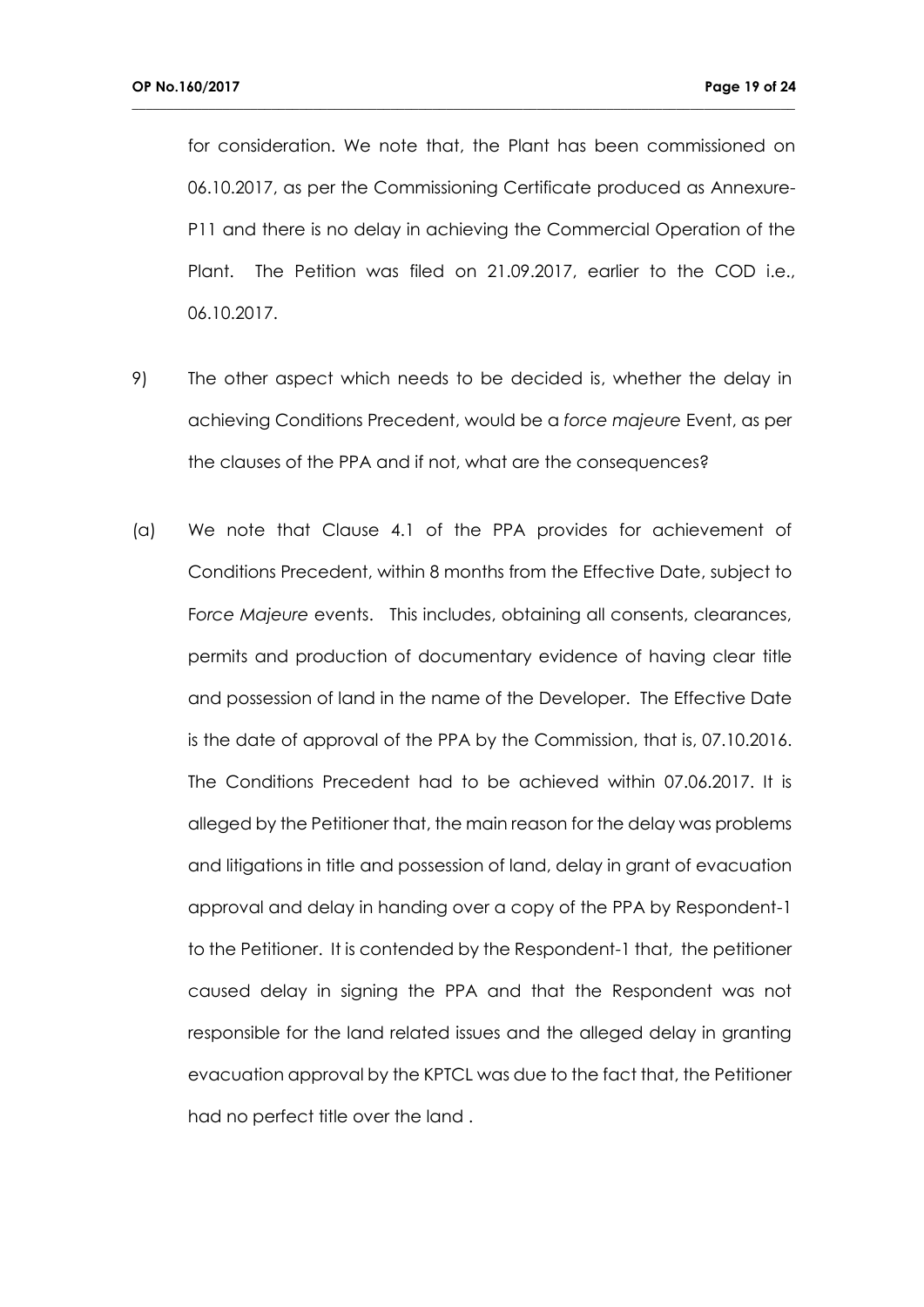for consideration. We note that, the Plant has been commissioned on 06.10.2017, as per the Commissioning Certificate produced as Annexure-P11 and there is no delay in achieving the Commercial Operation of the Plant. The Petition was filed on 21.09.2017, earlier to the COD i.e., 06.10.2017.

- 9) The other aspect which needs to be decided is, whether the delay in achieving Conditions Precedent, would be a *force majeure* Event, as per the clauses of the PPA and if not, what are the consequences?
- (a) We note that Clause 4.1 of the PPA provides for achievement of Conditions Precedent, within 8 months from the Effective Date, subject to F*orce Majeure* events. This includes, obtaining all consents, clearances, permits and production of documentary evidence of having clear title and possession of land in the name of the Developer. The Effective Date is the date of approval of the PPA by the Commission, that is, 07.10.2016. The Conditions Precedent had to be achieved within 07.06.2017. It is alleged by the Petitioner that, the main reason for the delay was problems and litigations in title and possession of land, delay in grant of evacuation approval and delay in handing over a copy of the PPA by Respondent-1 to the Petitioner. It is contended by the Respondent-1 that, the petitioner caused delay in signing the PPA and that the Respondent was not responsible for the land related issues and the alleged delay in granting evacuation approval by the KPTCL was due to the fact that, the Petitioner had no perfect title over the land .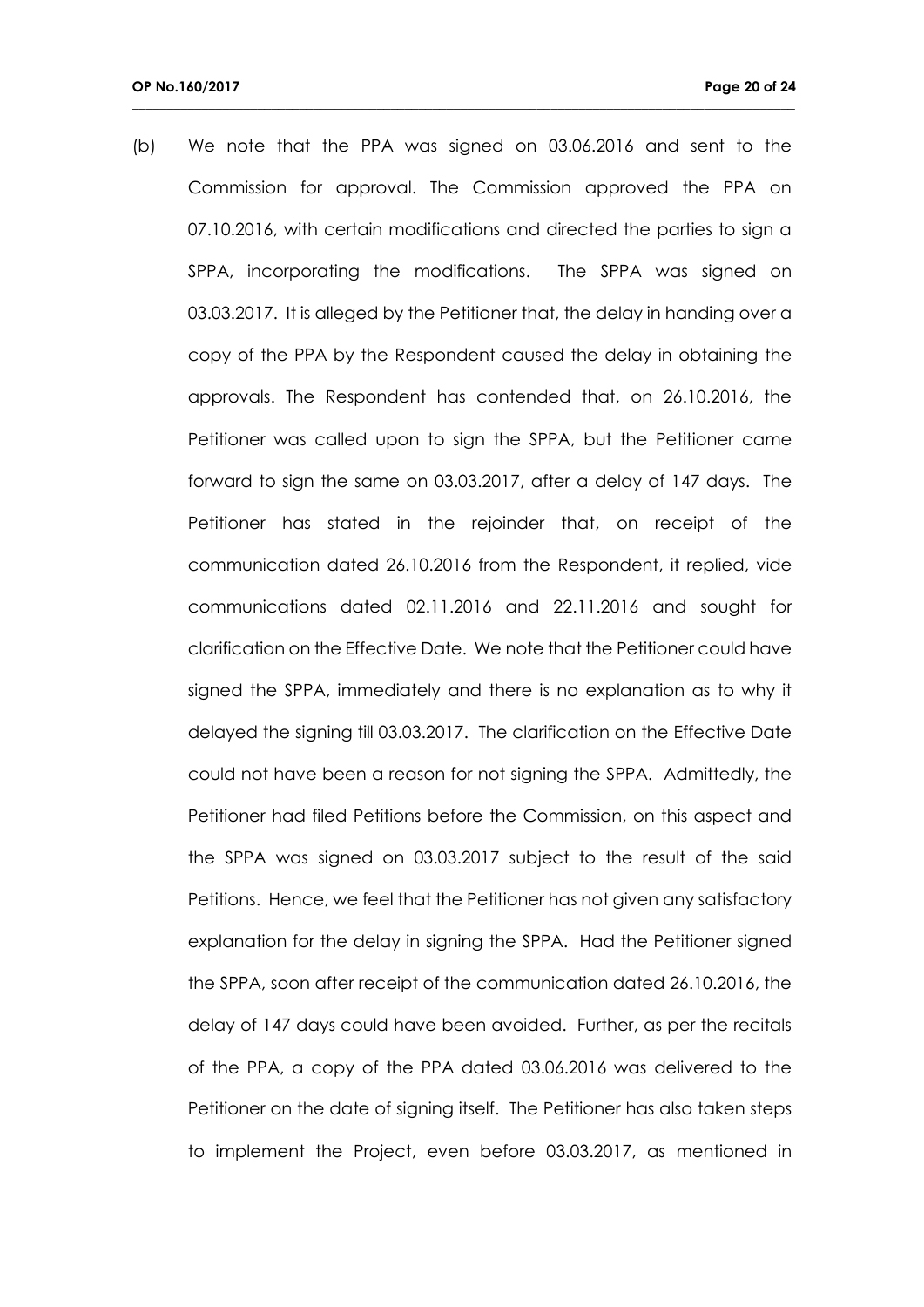(b) We note that the PPA was signed on 03.06.2016 and sent to the Commission for approval. The Commission approved the PPA on 07.10.2016, with certain modifications and directed the parties to sign a SPPA, incorporating the modifications. The SPPA was signed on 03.03.2017. It is alleged by the Petitioner that, the delay in handing over a copy of the PPA by the Respondent caused the delay in obtaining the approvals. The Respondent has contended that, on 26.10.2016, the Petitioner was called upon to sign the SPPA, but the Petitioner came forward to sign the same on 03.03.2017, after a delay of 147 days. The Petitioner has stated in the rejoinder that, on receipt of the communication dated 26.10.2016 from the Respondent, it replied, vide communications dated 02.11.2016 and 22.11.2016 and sought for clarification on the Effective Date. We note that the Petitioner could have signed the SPPA, immediately and there is no explanation as to why it delayed the signing till 03.03.2017. The clarification on the Effective Date could not have been a reason for not signing the SPPA. Admittedly, the Petitioner had filed Petitions before the Commission, on this aspect and the SPPA was signed on 03.03.2017 subject to the result of the said Petitions. Hence, we feel that the Petitioner has not given any satisfactory explanation for the delay in signing the SPPA. Had the Petitioner signed the SPPA, soon after receipt of the communication dated 26.10.2016, the delay of 147 days could have been avoided. Further, as per the recitals of the PPA, a copy of the PPA dated 03.06.2016 was delivered to the Petitioner on the date of signing itself. The Petitioner has also taken steps to implement the Project, even before 03.03.2017, as mentioned in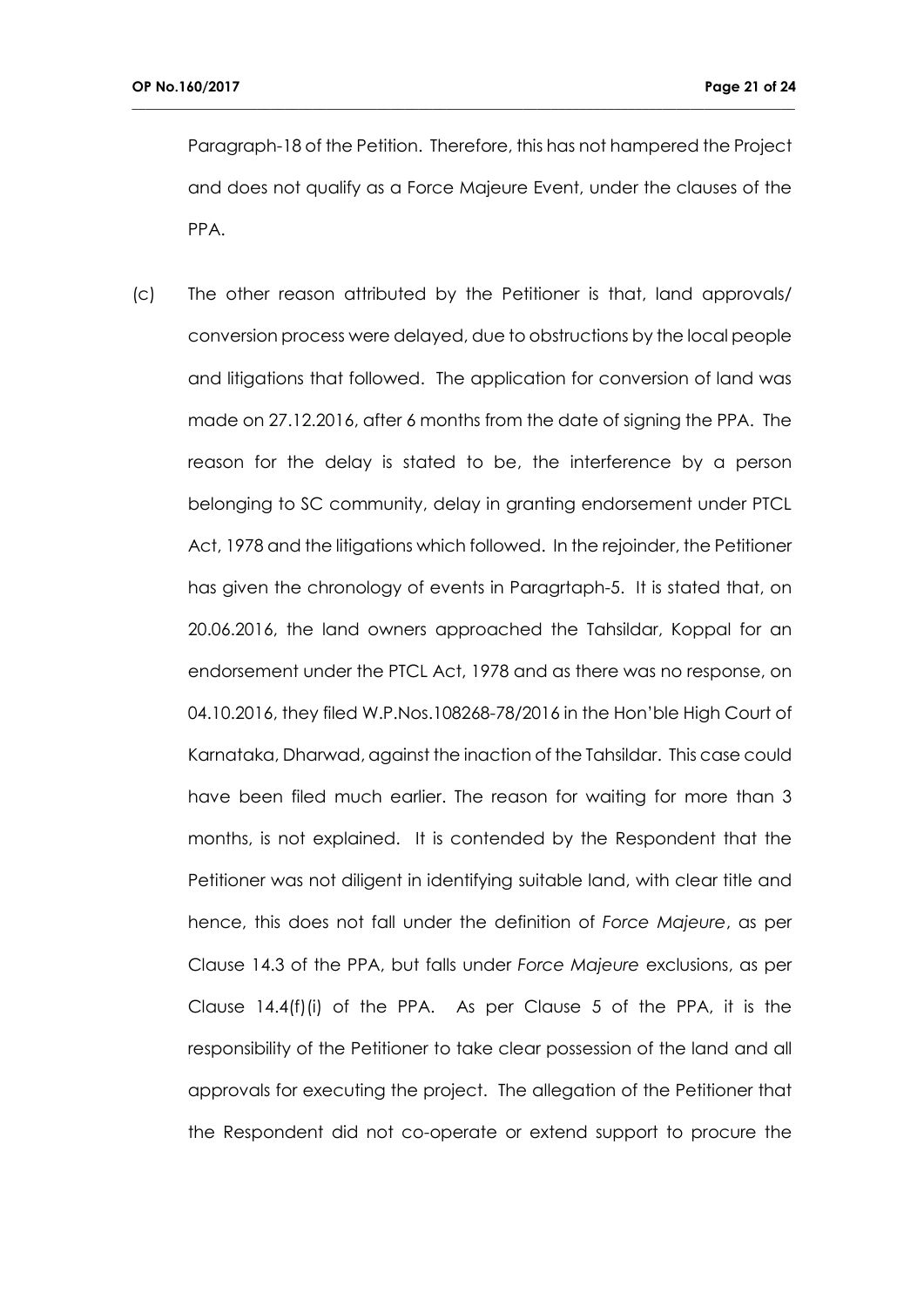Paragraph-18 of the Petition. Therefore, this has not hampered the Project and does not qualify as a Force Majeure Event, under the clauses of the PPA.

**\_\_\_\_\_\_\_\_\_\_\_\_\_\_\_\_\_\_\_\_\_\_\_\_\_\_\_\_\_\_\_\_\_\_\_\_\_\_\_\_\_\_\_\_\_\_\_\_\_\_\_\_\_\_\_\_\_\_\_\_\_\_\_\_\_\_\_\_\_\_\_\_\_\_\_\_\_\_\_\_\_\_\_\_\_\_\_\_\_\_\_\_\_\_\_**

(c) The other reason attributed by the Petitioner is that, land approvals/ conversion process were delayed, due to obstructions by the local people and litigations that followed. The application for conversion of land was made on 27.12.2016, after 6 months from the date of signing the PPA. The reason for the delay is stated to be, the interference by a person belonging to SC community, delay in granting endorsement under PTCL Act, 1978 and the litigations which followed. In the rejoinder, the Petitioner has given the chronology of events in Paragrtaph-5. It is stated that, on 20.06.2016, the land owners approached the Tahsildar, Koppal for an endorsement under the PTCL Act, 1978 and as there was no response, on 04.10.2016, they filed W.P.Nos.108268-78/2016 in the Hon'ble High Court of Karnataka, Dharwad, against the inaction of the Tahsildar. This case could have been filed much earlier. The reason for waiting for more than 3 months, is not explained. It is contended by the Respondent that the Petitioner was not diligent in identifying suitable land, with clear title and hence, this does not fall under the definition of *Force Majeure*, as per Clause 14.3 of the PPA, but falls under *Force Majeure* exclusions, as per Clause 14.4(f)(i) of the PPA. As per Clause 5 of the PPA, it is the responsibility of the Petitioner to take clear possession of the land and all approvals for executing the project. The allegation of the Petitioner that the Respondent did not co-operate or extend support to procure the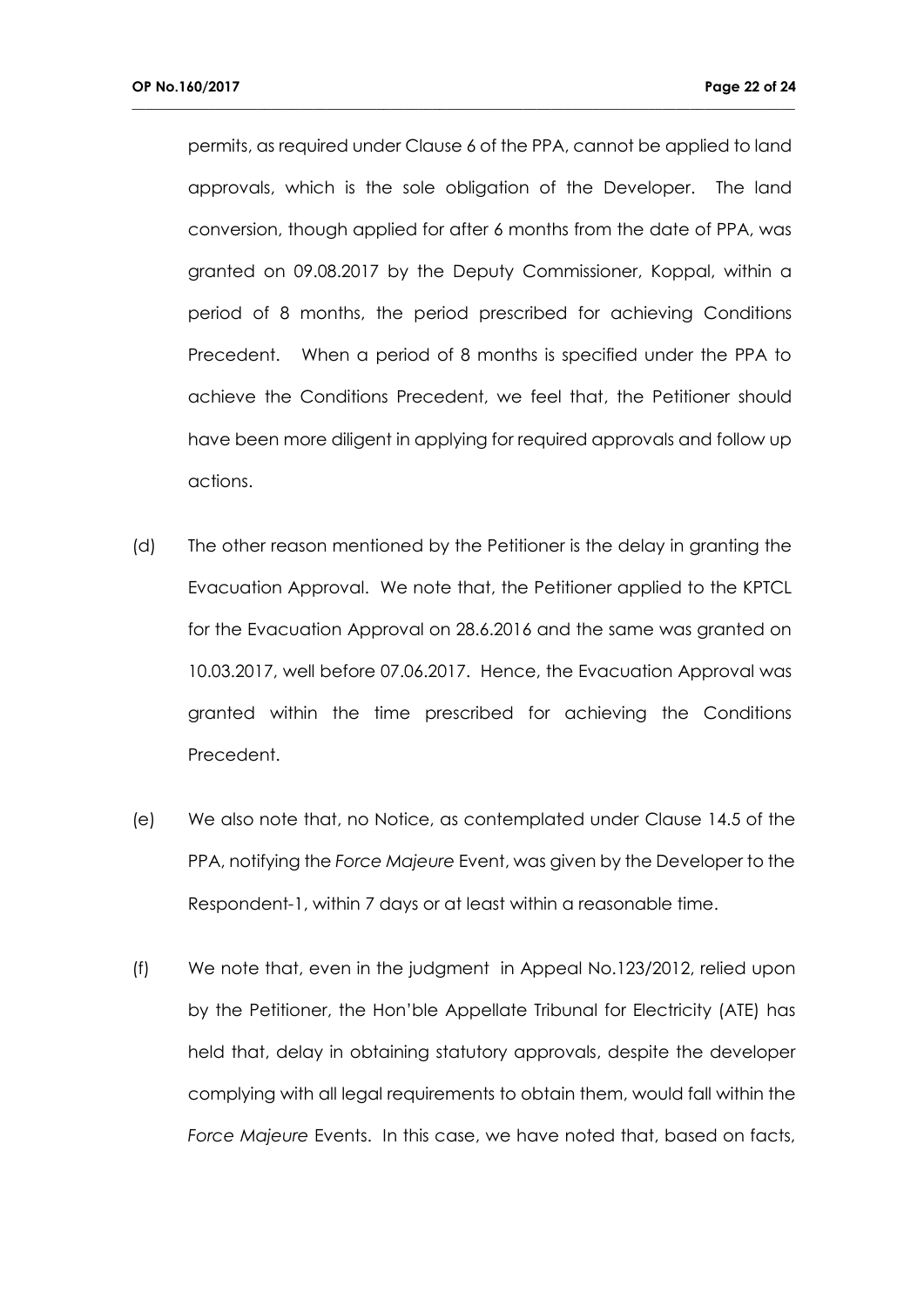permits, as required under Clause 6 of the PPA, cannot be applied to land approvals, which is the sole obligation of the Developer. The land conversion, though applied for after 6 months from the date of PPA, was granted on 09.08.2017 by the Deputy Commissioner, Koppal, within a period of 8 months, the period prescribed for achieving Conditions Precedent. When a period of 8 months is specified under the PPA to achieve the Conditions Precedent, we feel that, the Petitioner should have been more diligent in applying for required approvals and follow up actions.

- (d) The other reason mentioned by the Petitioner is the delay in granting the Evacuation Approval. We note that, the Petitioner applied to the KPTCL for the Evacuation Approval on 28.6.2016 and the same was granted on 10.03.2017, well before 07.06.2017. Hence, the Evacuation Approval was granted within the time prescribed for achieving the Conditions Precedent.
- (e) We also note that, no Notice, as contemplated under Clause 14.5 of the PPA, notifying the *Force Majeure* Event, was given by the Developer to the Respondent-1, within 7 days or at least within a reasonable time.
- (f) We note that, even in the judgment in Appeal No.123/2012, relied upon by the Petitioner, the Hon'ble Appellate Tribunal for Electricity (ATE) has held that, delay in obtaining statutory approvals, despite the developer complying with all legal requirements to obtain them, would fall within the *Force Majeure* Events. In this case, we have noted that, based on facts,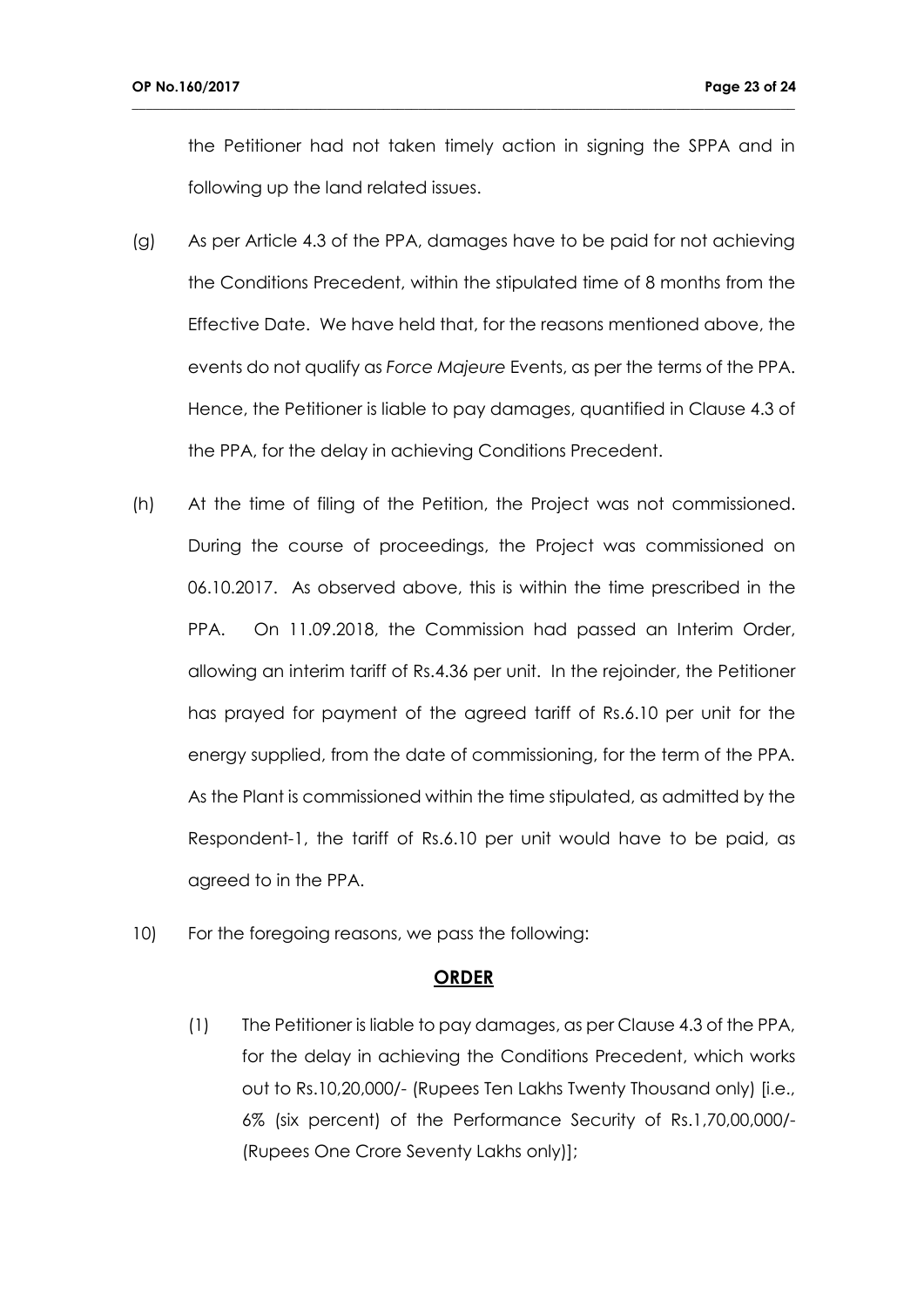the Petitioner had not taken timely action in signing the SPPA and in following up the land related issues.

**\_\_\_\_\_\_\_\_\_\_\_\_\_\_\_\_\_\_\_\_\_\_\_\_\_\_\_\_\_\_\_\_\_\_\_\_\_\_\_\_\_\_\_\_\_\_\_\_\_\_\_\_\_\_\_\_\_\_\_\_\_\_\_\_\_\_\_\_\_\_\_\_\_\_\_\_\_\_\_\_\_\_\_\_\_\_\_\_\_\_\_\_\_\_\_**

- (g) As per Article 4.3 of the PPA, damages have to be paid for not achieving the Conditions Precedent, within the stipulated time of 8 months from the Effective Date. We have held that, for the reasons mentioned above, the events do not qualify as *Force Majeure* Events, as per the terms of the PPA. Hence, the Petitioner is liable to pay damages, quantified in Clause 4.3 of the PPA, for the delay in achieving Conditions Precedent.
- (h) At the time of filing of the Petition, the Project was not commissioned. During the course of proceedings, the Project was commissioned on 06.10.2017. As observed above, this is within the time prescribed in the PPA. On 11.09.2018, the Commission had passed an Interim Order, allowing an interim tariff of Rs.4.36 per unit. In the rejoinder, the Petitioner has prayed for payment of the agreed tariff of Rs.6.10 per unit for the energy supplied, from the date of commissioning, for the term of the PPA. As the Plant is commissioned within the time stipulated, as admitted by the Respondent-1, the tariff of Rs.6.10 per unit would have to be paid, as agreed to in the PPA.
- 10) For the foregoing reasons, we pass the following:

#### **ORDER**

(1) The Petitioner is liable to pay damages, as per Clause 4.3 of the PPA, for the delay in achieving the Conditions Precedent, which works out to Rs.10,20,000/- (Rupees Ten Lakhs Twenty Thousand only) [i.e., 6% (six percent) of the Performance Security of Rs.1,70,00,000/- (Rupees One Crore Seventy Lakhs only)];